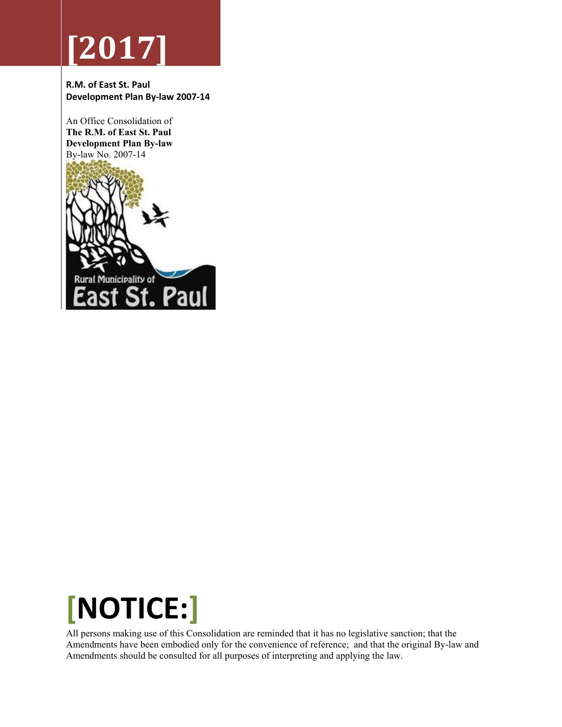# **[2017]**

**R.M. of East St. Paul Development Plan By‐law 2007‐14** 

An Office Consolidation of **The R.M. of East St. Paul Development Plan By-law**  By-law No. 2007-14





All persons making use of this Consolidation are reminded that it has no legislative sanction; that the Amendments have been embodied only for the convenience of reference; and that the original By-law and Amendments should be consulted for all purposes of interpreting and applying the law.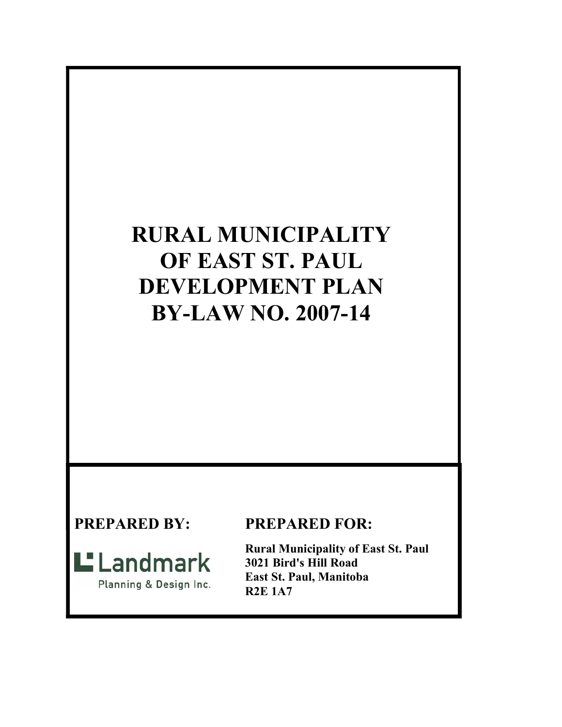# **RURAL MUNICIPALITY OF EAST ST. PAUL DEVELOPMENT PLAN BY-LAW NO. 2007-14**

# $L$  Landmark

Planning & Design Inc.

# **PREPARED BY: PREPARED FOR:**

**Rural Municipality of East St. Paul 3021 Bird's Hill Road East St. Paul, Manitoba R2E 1A7**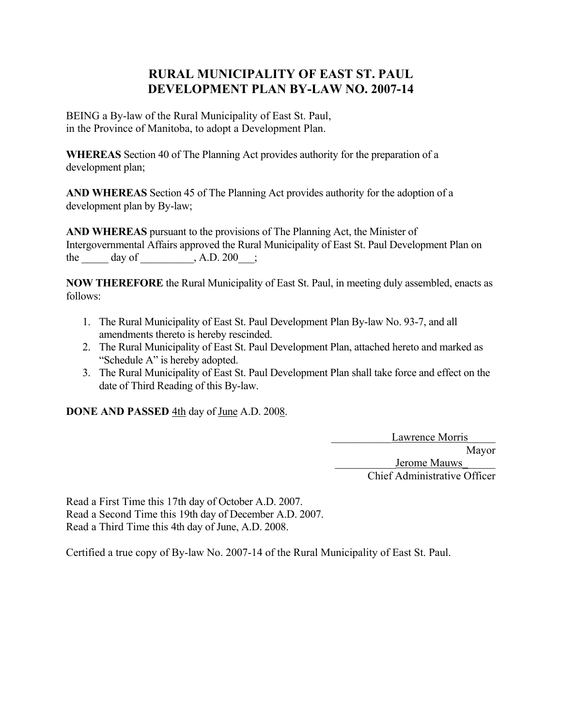### **RURAL MUNICIPALITY OF EAST ST. PAUL DEVELOPMENT PLAN BY-LAW NO. 2007-14**

BEING a By-law of the Rural Municipality of East St. Paul, in the Province of Manitoba, to adopt a Development Plan.

**WHEREAS** Section 40 of The Planning Act provides authority for the preparation of a development plan;

**AND WHEREAS** Section 45 of The Planning Act provides authority for the adoption of a development plan by By-law;

**AND WHEREAS** pursuant to the provisions of The Planning Act, the Minister of Intergovernmental Affairs approved the Rural Municipality of East St. Paul Development Plan on the day of  $A.D. 200$ ;

**NOW THEREFORE** the Rural Municipality of East St. Paul, in meeting duly assembled, enacts as follows:

- 1. The Rural Municipality of East St. Paul Development Plan By-law No. 93-7, and all amendments thereto is hereby rescinded.
- 2. The Rural Municipality of East St. Paul Development Plan, attached hereto and marked as "Schedule A" is hereby adopted.
- 3. The Rural Municipality of East St. Paul Development Plan shall take force and effect on the date of Third Reading of this By-law.

**DONE AND PASSED** 4th day of June A.D. 2008.

Lawrence Morris Mayor Jerome Mauws Chief Administrative Officer

Read a First Time this 17th day of October A.D. 2007. Read a Second Time this 19th day of December A.D. 2007. Read a Third Time this 4th day of June, A.D. 2008.

Certified a true copy of By-law No. 2007-14 of the Rural Municipality of East St. Paul.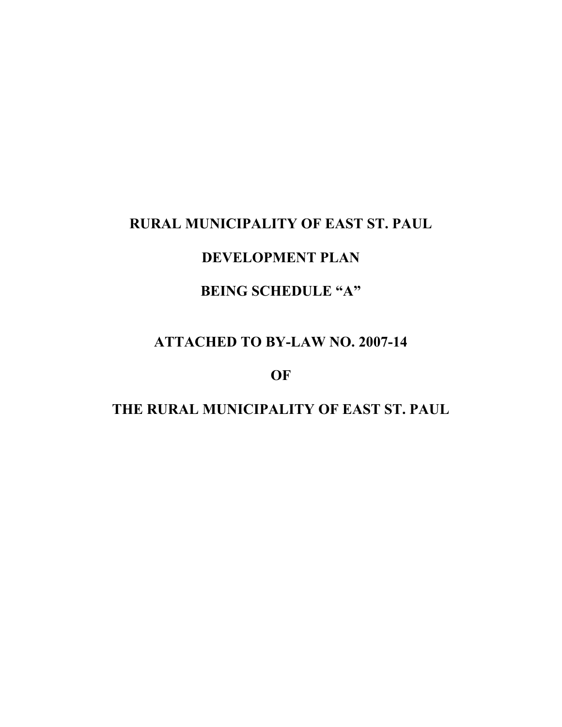# **RURAL MUNICIPALITY OF EAST ST. PAUL**

# **DEVELOPMENT PLAN**

# **BEING SCHEDULE "A"**

## **ATTACHED TO BY-LAW NO. 2007-14**

#### **OF**

# **THE RURAL MUNICIPALITY OF EAST ST. PAUL**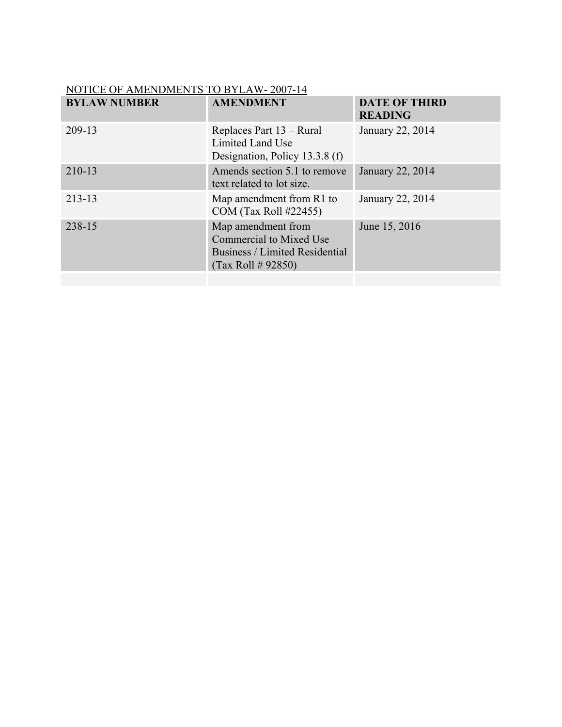| NOTICE OF AMENDMENTS TO BYLAW-2007-14 |                                                                                                              |                                        |  |  |  |  |  |
|---------------------------------------|--------------------------------------------------------------------------------------------------------------|----------------------------------------|--|--|--|--|--|
| <b>BYLAW NUMBER</b>                   | <b>AMENDMENT</b>                                                                                             | <b>DATE OF THIRD</b><br><b>READING</b> |  |  |  |  |  |
| 209-13                                | Replaces Part 13 – Rural<br>Limited Land Use<br>Designation, Policy 13.3.8 (f)                               | January 22, 2014                       |  |  |  |  |  |
| 210-13                                | Amends section 5.1 to remove<br>text related to lot size.                                                    | January 22, 2014                       |  |  |  |  |  |
| 213-13                                | Map amendment from R1 to<br>COM (Tax Roll #22455)                                                            | January 22, 2014                       |  |  |  |  |  |
| 238-15                                | Map amendment from<br><b>Commercial to Mixed Use</b><br>Business / Limited Residential<br>(Tax Roll # 92850) | June 15, 2016                          |  |  |  |  |  |
|                                       |                                                                                                              |                                        |  |  |  |  |  |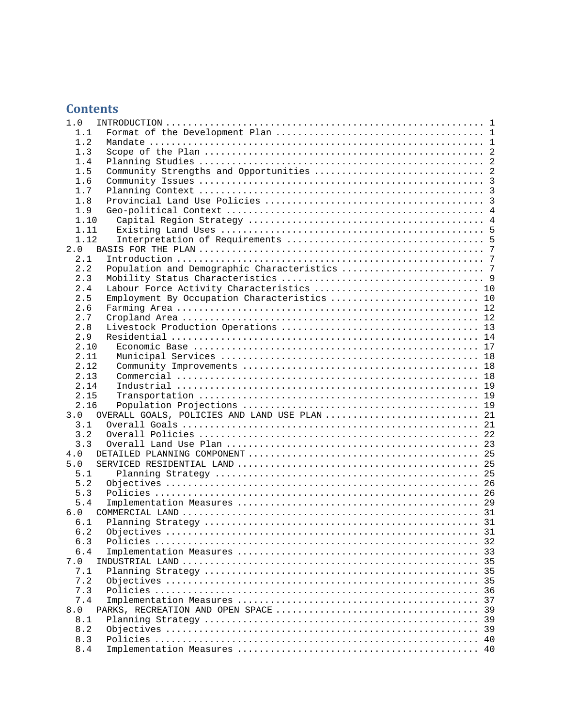### **Contents**

| 1.0                                                  |    |
|------------------------------------------------------|----|
| 1.1                                                  |    |
| 1.2                                                  |    |
| 1.3                                                  |    |
| 1.4                                                  |    |
| 1.5                                                  |    |
| 1.6                                                  |    |
| 1.7                                                  |    |
| 1.8                                                  |    |
| 1.9                                                  |    |
| 1.10                                                 |    |
| 1.11                                                 |    |
| 1.12                                                 |    |
| 2.0                                                  |    |
| 2.1                                                  |    |
| 2.2                                                  |    |
| 2.3                                                  |    |
| Labour Force Activity Characteristics  10<br>2.4     |    |
| 2.5<br>Employment By Occupation Characteristics  10  |    |
| 2.6                                                  |    |
|                                                      |    |
| 2.7                                                  |    |
| 2.8                                                  |    |
| 2.9                                                  |    |
| 2.10                                                 |    |
| 2.11                                                 |    |
| 2.12                                                 |    |
| 2.13                                                 |    |
| 2.14                                                 |    |
| 2.15                                                 |    |
| 2.16                                                 |    |
| OVERALL GOALS, POLICIES AND LAND USE PLAN  21<br>3.0 |    |
| 3.1                                                  |    |
| 3.2                                                  |    |
| 3.3                                                  |    |
| 4.0                                                  |    |
| 5.0                                                  |    |
| 5.1                                                  |    |
| 5.2                                                  |    |
| 5.3                                                  |    |
| 5.4                                                  |    |
| 6.0                                                  |    |
| 6.1                                                  |    |
| 6.2                                                  | 31 |
| 6.3                                                  |    |
| 6.4                                                  |    |
| 7.0                                                  |    |
| 7.1                                                  |    |
| 7.2                                                  | 35 |
| 7.3                                                  |    |
| 7.4                                                  | 37 |
| 8.0                                                  | 39 |
| 8.1                                                  | 39 |
| 8.2                                                  |    |
| 8.3                                                  |    |
|                                                      |    |
| 8.4                                                  |    |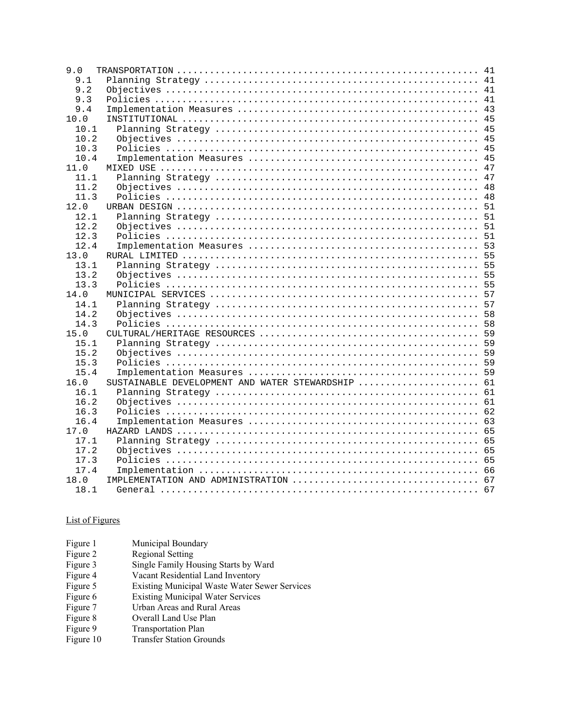| 9.0  |                                                   |  |
|------|---------------------------------------------------|--|
| 9.1  |                                                   |  |
| 9.2  |                                                   |  |
| 9.3  |                                                   |  |
| 9.4  |                                                   |  |
| 10.0 |                                                   |  |
| 10.1 |                                                   |  |
| 10.2 |                                                   |  |
| 10.3 |                                                   |  |
| 10.4 |                                                   |  |
| 11.0 |                                                   |  |
| 11.1 |                                                   |  |
| 11.2 |                                                   |  |
| 11.3 |                                                   |  |
| 12.0 |                                                   |  |
| 12.1 |                                                   |  |
| 12.2 |                                                   |  |
| 12.3 |                                                   |  |
| 12.4 |                                                   |  |
| 13.0 |                                                   |  |
| 13.1 |                                                   |  |
| 13.2 |                                                   |  |
| 13.3 |                                                   |  |
| 14.0 |                                                   |  |
| 14.1 |                                                   |  |
| 14.2 |                                                   |  |
| 14.3 |                                                   |  |
| 15.0 |                                                   |  |
| 15.1 |                                                   |  |
| 15.2 |                                                   |  |
| 15.3 |                                                   |  |
| 15.4 |                                                   |  |
| 16.0 | SUSTAINABLE DEVELOPMENT AND WATER STEWARDSHIP  61 |  |
| 16.1 |                                                   |  |
| 16.2 |                                                   |  |
| 16.3 |                                                   |  |
| 16.4 |                                                   |  |
| 17.0 |                                                   |  |
| 17.1 |                                                   |  |
| 17.2 |                                                   |  |
| 17.3 |                                                   |  |
| 17.4 |                                                   |  |
| 18.0 |                                                   |  |
| 18.1 |                                                   |  |
|      |                                                   |  |

#### List of Figures

| Figure 1  | Municipal Boundary                                   |
|-----------|------------------------------------------------------|
| Figure 2  | <b>Regional Setting</b>                              |
| Figure 3  | Single Family Housing Starts by Ward                 |
| Figure 4  | Vacant Residential Land Inventory                    |
| Figure 5  | <b>Existing Municipal Waste Water Sewer Services</b> |
| Figure 6  | <b>Existing Municipal Water Services</b>             |
| Figure 7  | Urban Areas and Rural Areas                          |
| Figure 8  | Overall Land Use Plan                                |
| Figure 9  | <b>Transportation Plan</b>                           |
| Figure 10 | <b>Transfer Station Grounds</b>                      |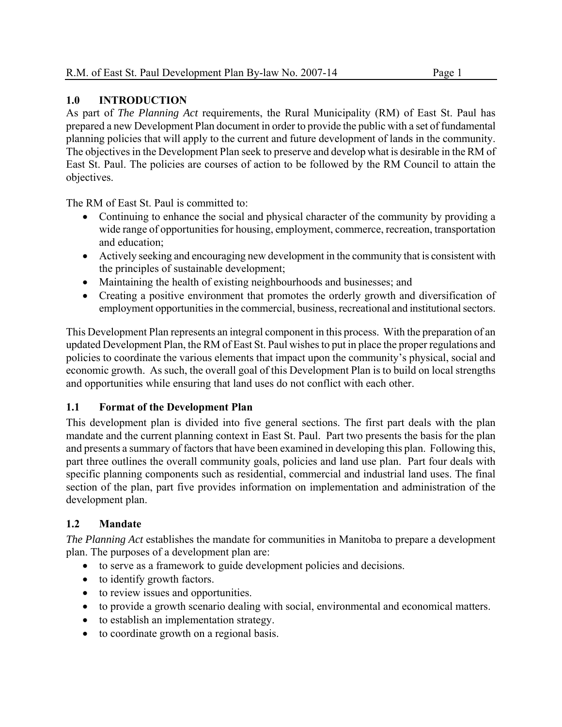#### **1.0 INTRODUCTION**

As part of *The Planning Act* requirements, the Rural Municipality (RM) of East St. Paul has prepared a new Development Plan document in order to provide the public with a set of fundamental planning policies that will apply to the current and future development of lands in the community. The objectives in the Development Plan seek to preserve and develop what is desirable in the RM of East St. Paul. The policies are courses of action to be followed by the RM Council to attain the objectives.

The RM of East St. Paul is committed to:

- Continuing to enhance the social and physical character of the community by providing a wide range of opportunities for housing, employment, commerce, recreation, transportation and education;
- Actively seeking and encouraging new development in the community that is consistent with the principles of sustainable development;
- Maintaining the health of existing neighbourhoods and businesses; and
- Creating a positive environment that promotes the orderly growth and diversification of employment opportunities in the commercial, business, recreational and institutional sectors.

This Development Plan represents an integral component in this process. With the preparation of an updated Development Plan, the RM of East St. Paul wishes to put in place the proper regulations and policies to coordinate the various elements that impact upon the community's physical, social and economic growth. As such, the overall goal of this Development Plan is to build on local strengths and opportunities while ensuring that land uses do not conflict with each other.

#### **1.1 Format of the Development Plan**

This development plan is divided into five general sections. The first part deals with the plan mandate and the current planning context in East St. Paul. Part two presents the basis for the plan and presents a summary of factors that have been examined in developing this plan. Following this, part three outlines the overall community goals, policies and land use plan. Part four deals with specific planning components such as residential, commercial and industrial land uses. The final section of the plan, part five provides information on implementation and administration of the development plan.

#### **1.2 Mandate**

*The Planning Act* establishes the mandate for communities in Manitoba to prepare a development plan. The purposes of a development plan are:

- to serve as a framework to guide development policies and decisions.
- to identify growth factors.
- to review issues and opportunities.
- to provide a growth scenario dealing with social, environmental and economical matters.
- to establish an implementation strategy.
- to coordinate growth on a regional basis.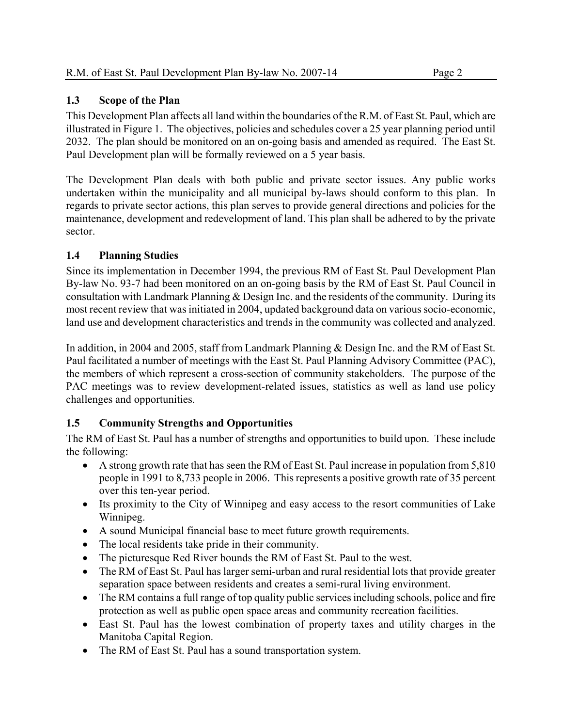#### **1.3 Scope of the Plan**

This Development Plan affects all land within the boundaries of the R.M. of East St. Paul, which are illustrated in Figure 1. The objectives, policies and schedules cover a 25 year planning period until 2032. The plan should be monitored on an on-going basis and amended as required. The East St. Paul Development plan will be formally reviewed on a 5 year basis.

The Development Plan deals with both public and private sector issues. Any public works undertaken within the municipality and all municipal by-laws should conform to this plan. In regards to private sector actions, this plan serves to provide general directions and policies for the maintenance, development and redevelopment of land. This plan shall be adhered to by the private sector.

#### **1.4 Planning Studies**

Since its implementation in December 1994, the previous RM of East St. Paul Development Plan By-law No. 93-7 had been monitored on an on-going basis by the RM of East St. Paul Council in consultation with Landmark Planning & Design Inc. and the residents of the community. During its most recent review that was initiated in 2004, updated background data on various socio-economic, land use and development characteristics and trends in the community was collected and analyzed.

In addition, in 2004 and 2005, staff from Landmark Planning & Design Inc. and the RM of East St. Paul facilitated a number of meetings with the East St. Paul Planning Advisory Committee (PAC), the members of which represent a cross-section of community stakeholders. The purpose of the PAC meetings was to review development-related issues, statistics as well as land use policy challenges and opportunities.

#### **1.5 Community Strengths and Opportunities**

The RM of East St. Paul has a number of strengths and opportunities to build upon. These include the following:

- A strong growth rate that has seen the RM of East St. Paul increase in population from 5,810 people in 1991 to 8,733 people in 2006. This represents a positive growth rate of 35 percent over this ten-year period.
- Its proximity to the City of Winnipeg and easy access to the resort communities of Lake Winnipeg.
- A sound Municipal financial base to meet future growth requirements.
- The local residents take pride in their community.
- The picturesque Red River bounds the RM of East St. Paul to the west.
- The RM of East St. Paul has larger semi-urban and rural residential lots that provide greater separation space between residents and creates a semi-rural living environment.
- The RM contains a full range of top quality public services including schools, police and fire protection as well as public open space areas and community recreation facilities.
- East St. Paul has the lowest combination of property taxes and utility charges in the Manitoba Capital Region.
- The RM of East St. Paul has a sound transportation system.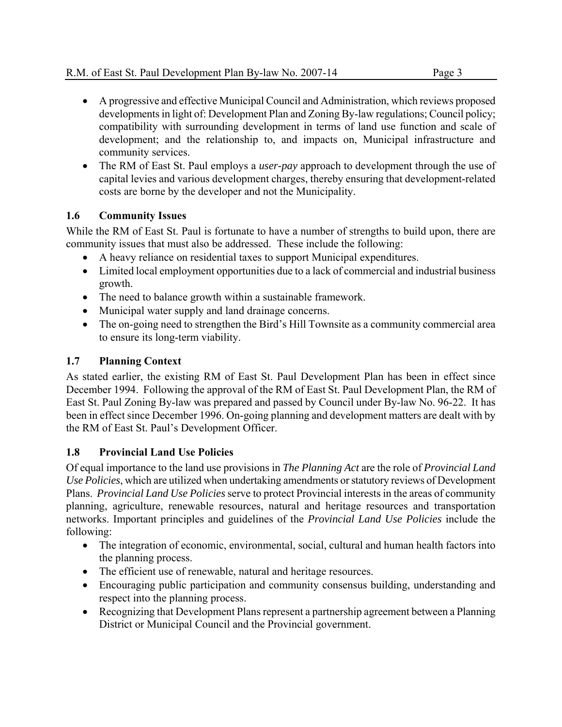- A progressive and effective Municipal Council and Administration, which reviews proposed developments in light of: Development Plan and Zoning By-law regulations; Council policy; compatibility with surrounding development in terms of land use function and scale of development; and the relationship to, and impacts on, Municipal infrastructure and community services.
- The RM of East St. Paul employs a *user-pay* approach to development through the use of capital levies and various development charges, thereby ensuring that development-related costs are borne by the developer and not the Municipality.

#### **1.6 Community Issues**

While the RM of East St. Paul is fortunate to have a number of strengths to build upon, there are community issues that must also be addressed. These include the following:

- A heavy reliance on residential taxes to support Municipal expenditures.
- Limited local employment opportunities due to a lack of commercial and industrial business growth.
- The need to balance growth within a sustainable framework.
- Municipal water supply and land drainage concerns.
- The on-going need to strengthen the Bird's Hill Townsite as a community commercial area to ensure its long-term viability.

#### **1.7 Planning Context**

As stated earlier, the existing RM of East St. Paul Development Plan has been in effect since December 1994. Following the approval of the RM of East St. Paul Development Plan, the RM of East St. Paul Zoning By-law was prepared and passed by Council under By-law No. 96-22. It has been in effect since December 1996. On-going planning and development matters are dealt with by the RM of East St. Paul's Development Officer.

#### **1.8 Provincial Land Use Policies**

Of equal importance to the land use provisions in *The Planning Act* are the role of *Provincial Land Use Policies*, which are utilized when undertaking amendments or statutory reviews of Development Plans. *Provincial Land Use Policies* serve to protect Provincial interests in the areas of community planning, agriculture, renewable resources, natural and heritage resources and transportation networks. Important principles and guidelines of the *Provincial Land Use Policies* include the following:

- The integration of economic, environmental, social, cultural and human health factors into the planning process.
- The efficient use of renewable, natural and heritage resources.
- Encouraging public participation and community consensus building, understanding and respect into the planning process.
- Recognizing that Development Plans represent a partnership agreement between a Planning District or Municipal Council and the Provincial government.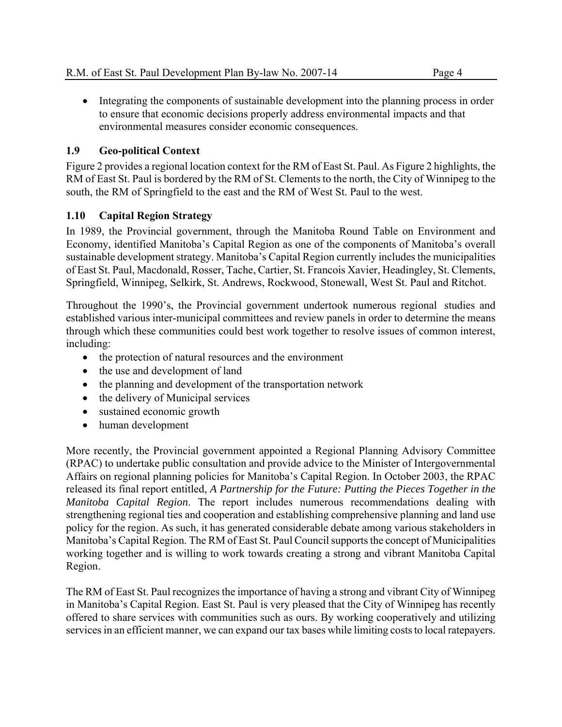• Integrating the components of sustainable development into the planning process in order to ensure that economic decisions properly address environmental impacts and that environmental measures consider economic consequences.

#### **1.9 Geo-political Context**

Figure 2 provides a regional location context for the RM of East St. Paul. As Figure 2 highlights, the RM of East St. Paul is bordered by the RM of St. Clements to the north, the City of Winnipeg to the south, the RM of Springfield to the east and the RM of West St. Paul to the west.

#### **1.10 Capital Region Strategy**

In 1989, the Provincial government, through the Manitoba Round Table on Environment and Economy, identified Manitoba's Capital Region as one of the components of Manitoba's overall sustainable development strategy. Manitoba's Capital Region currently includes the municipalities of East St. Paul, Macdonald, Rosser, Tache, Cartier, St. Francois Xavier, Headingley, St. Clements, Springfield, Winnipeg, Selkirk, St. Andrews, Rockwood, Stonewall, West St. Paul and Ritchot.

Throughout the 1990's, the Provincial government undertook numerous regional studies and established various inter-municipal committees and review panels in order to determine the means through which these communities could best work together to resolve issues of common interest, including:

- the protection of natural resources and the environment
- the use and development of land
- the planning and development of the transportation network
- the delivery of Municipal services
- sustained economic growth
- human development

More recently, the Provincial government appointed a Regional Planning Advisory Committee (RPAC) to undertake public consultation and provide advice to the Minister of Intergovernmental Affairs on regional planning policies for Manitoba's Capital Region. In October 2003, the RPAC released its final report entitled, *A Partnership for the Future: Putting the Pieces Together in the Manitoba Capital Region*. The report includes numerous recommendations dealing with strengthening regional ties and cooperation and establishing comprehensive planning and land use policy for the region. As such, it has generated considerable debate among various stakeholders in Manitoba's Capital Region. The RM of East St. Paul Council supports the concept of Municipalities working together and is willing to work towards creating a strong and vibrant Manitoba Capital Region.

The RM of East St. Paul recognizes the importance of having a strong and vibrant City of Winnipeg in Manitoba's Capital Region. East St. Paul is very pleased that the City of Winnipeg has recently offered to share services with communities such as ours. By working cooperatively and utilizing services in an efficient manner, we can expand our tax bases while limiting costs to local ratepayers.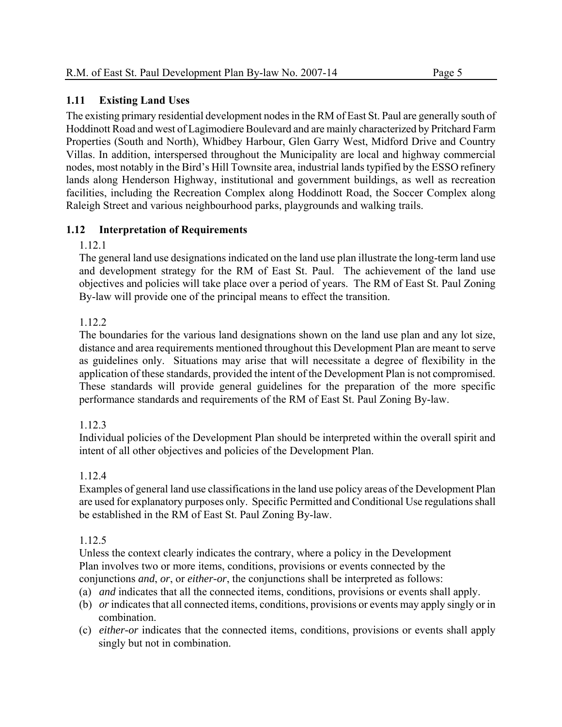#### **1.11 Existing Land Uses**

The existing primary residential development nodes in the RM of East St. Paul are generally south of Hoddinott Road and west of Lagimodiere Boulevard and are mainly characterized by Pritchard Farm Properties (South and North), Whidbey Harbour, Glen Garry West, Midford Drive and Country Villas. In addition, interspersed throughout the Municipality are local and highway commercial nodes, most notably in the Bird's Hill Townsite area, industrial lands typified by the ESSO refinery lands along Henderson Highway, institutional and government buildings, as well as recreation facilities, including the Recreation Complex along Hoddinott Road, the Soccer Complex along Raleigh Street and various neighbourhood parks, playgrounds and walking trails.

#### **1.12 Interpretation of Requirements**

1.12.1

The general land use designations indicated on the land use plan illustrate the long-term land use and development strategy for the RM of East St. Paul. The achievement of the land use objectives and policies will take place over a period of years. The RM of East St. Paul Zoning By-law will provide one of the principal means to effect the transition.

#### 1.12.2

The boundaries for the various land designations shown on the land use plan and any lot size, distance and area requirements mentioned throughout this Development Plan are meant to serve as guidelines only. Situations may arise that will necessitate a degree of flexibility in the application of these standards, provided the intent of the Development Plan is not compromised. These standards will provide general guidelines for the preparation of the more specific performance standards and requirements of the RM of East St. Paul Zoning By-law.

#### 1.12.3

Individual policies of the Development Plan should be interpreted within the overall spirit and intent of all other objectives and policies of the Development Plan.

#### 1.12.4

Examples of general land use classifications in the land use policy areas of the Development Plan are used for explanatory purposes only. Specific Permitted and Conditional Use regulations shall be established in the RM of East St. Paul Zoning By-law.

#### 1.12.5

Unless the context clearly indicates the contrary, where a policy in the Development Plan involves two or more items, conditions, provisions or events connected by the conjunctions *and*, *or*, or *either-or*, the conjunctions shall be interpreted as follows:

- (a) *and* indicates that all the connected items, conditions, provisions or events shall apply.
- (b) *or* indicates that all connected items, conditions, provisions or events may apply singly or in combination.
- (c) *either-or* indicates that the connected items, conditions, provisions or events shall apply singly but not in combination.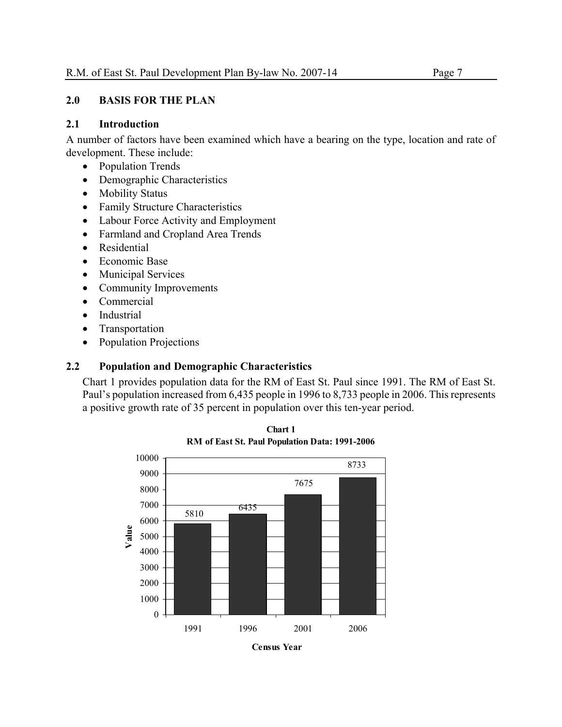#### **2.0 BASIS FOR THE PLAN**

#### **2.1 Introduction**

A number of factors have been examined which have a bearing on the type, location and rate of development. These include:

- Population Trends
- Demographic Characteristics
- Mobility Status
- Family Structure Characteristics
- Labour Force Activity and Employment
- Farmland and Cropland Area Trends
- Residential
- Economic Base
- Municipal Services
- Community Improvements
- Commercial
- Industrial
- Transportation
- Population Projections

#### **2.2 Population and Demographic Characteristics**

Chart 1 provides population data for the RM of East St. Paul since 1991. The RM of East St. Paul's population increased from 6,435 people in 1996 to 8,733 people in 2006. This represents a positive growth rate of 35 percent in population over this ten-year period.



**Chart 1 RM of East St. Paul Population Data: 1991-2006**

**Census Year**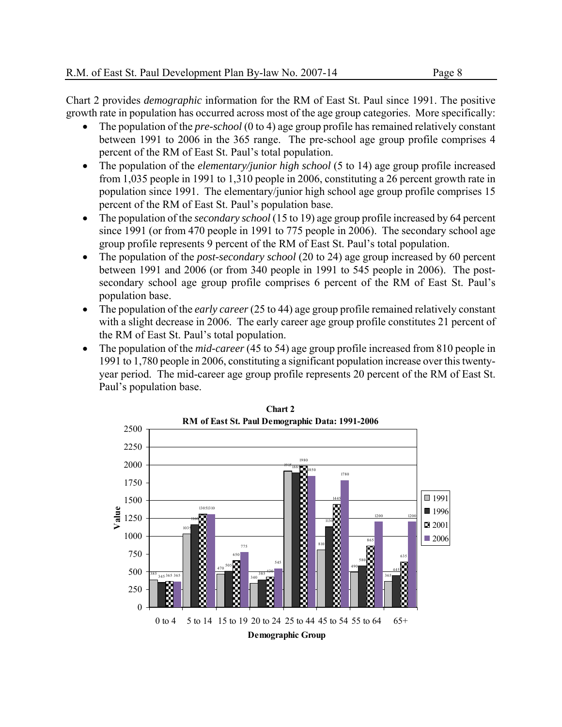Chart 2 provides *demographic* information for the RM of East St. Paul since 1991. The positive growth rate in population has occurred across most of the age group categories. More specifically:

- The population of the *pre-school* (0 to 4) age group profile has remained relatively constant between 1991 to 2006 in the 365 range. The pre-school age group profile comprises 4 percent of the RM of East St. Paul's total population.
- The population of the *elementary/junior high school* (5 to 14) age group profile increased from 1,035 people in 1991 to 1,310 people in 2006, constituting a 26 percent growth rate in population since 1991. The elementary/junior high school age group profile comprises 15 percent of the RM of East St. Paul's population base.
- The population of the *secondary school* (15 to 19) age group profile increased by 64 percent since 1991 (or from 470 people in 1991 to 775 people in 2006). The secondary school age group profile represents 9 percent of the RM of East St. Paul's total population.
- The population of the *post-secondary school* (20 to 24) age group increased by 60 percent between 1991 and 2006 (or from 340 people in 1991 to 545 people in 2006). The postsecondary school age group profile comprises 6 percent of the RM of East St. Paul's population base.
- The population of the *early career* (25 to 44) age group profile remained relatively constant with a slight decrease in 2006. The early career age group profile constitutes 21 percent of the RM of East St. Paul's total population.
- The population of the *mid-career* (45 to 54) age group profile increased from 810 people in 1991 to 1,780 people in 2006, constituting a significant population increase over this twentyyear period. The mid-career age group profile represents 20 percent of the RM of East St. Paul's population base.

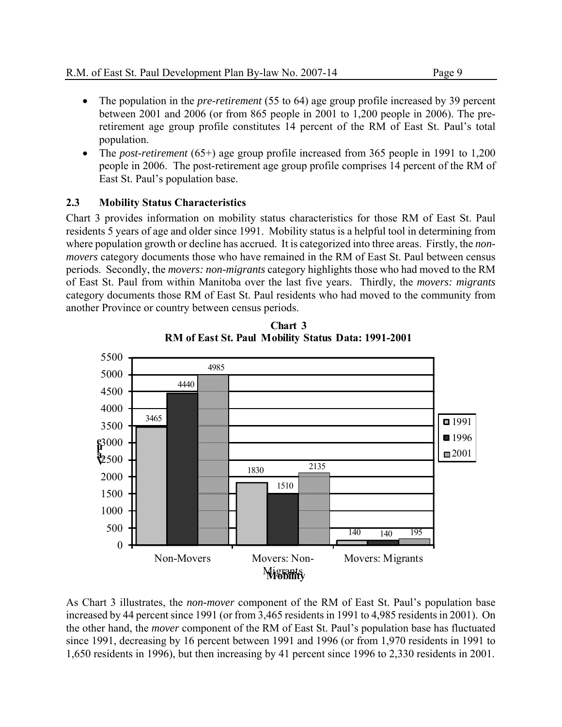- The population in the *pre-retirement* (55 to 64) age group profile increased by 39 percent between 2001 and 2006 (or from 865 people in 2001 to 1,200 people in 2006). The preretirement age group profile constitutes 14 percent of the RM of East St. Paul's total population.
- The *post-retirement* (65+) age group profile increased from 365 people in 1991 to 1,200 people in 2006. The post-retirement age group profile comprises 14 percent of the RM of East St. Paul's population base.

#### **2.3 Mobility Status Characteristics**

Chart 3 provides information on mobility status characteristics for those RM of East St. Paul residents 5 years of age and older since 1991. Mobility status is a helpful tool in determining from where population growth or decline has accrued. It is categorized into three areas. Firstly, the *nonmovers* category documents those who have remained in the RM of East St. Paul between census periods. Secondly, the *movers: non-migrants* category highlights those who had moved to the RM of East St. Paul from within Manitoba over the last five years. Thirdly, the *movers: migrants* category documents those RM of East St. Paul residents who had moved to the community from another Province or country between census periods.



**Chart 3 RM of East St. Paul Mobility Status Data: 1991-2001**

As Chart 3 illustrates, the *non-mover* component of the RM of East St. Paul's population base increased by 44 percent since 1991 (or from 3,465 residents in 1991 to 4,985 residents in 2001). On the other hand, the *mover* component of the RM of East St. Paul's population base has fluctuated since 1991, decreasing by 16 percent between 1991 and 1996 (or from 1,970 residents in 1991 to 1,650 residents in 1996), but then increasing by 41 percent since 1996 to 2,330 residents in 2001.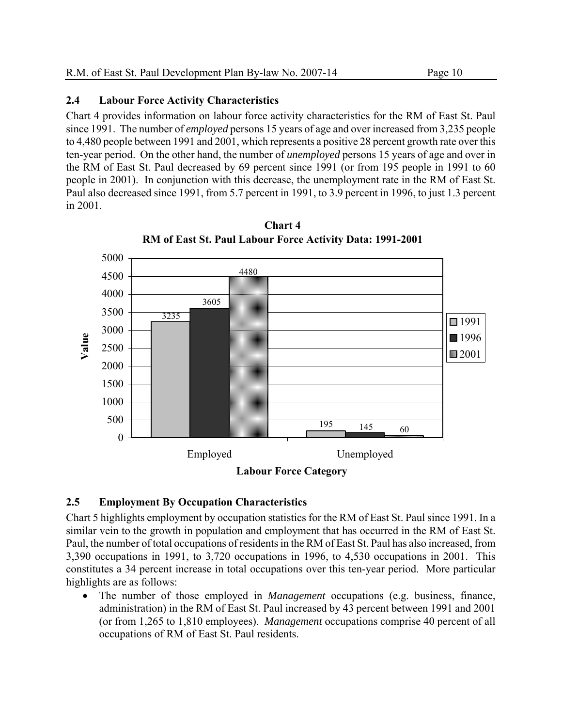#### **2.4 Labour Force Activity Characteristics**

Chart 4 provides information on labour force activity characteristics for the RM of East St. Paul since 1991. The number of *employed* persons 15 years of age and over increased from 3,235 people to 4,480 people between 1991 and 2001, which represents a positive 28 percent growth rate over this ten-year period. On the other hand, the number of *unemployed* persons 15 years of age and over in the RM of East St. Paul decreased by 69 percent since 1991 (or from 195 people in 1991 to 60 people in 2001). In conjunction with this decrease, the unemployment rate in the RM of East St. Paul also decreased since 1991, from 5.7 percent in 1991, to 3.9 percent in 1996, to just 1.3 percent in 2001.



**Chart 4 RM of East St. Paul Labour Force Activity Data: 1991-2001**

#### **2.5 Employment By Occupation Characteristics**

Chart 5 highlights employment by occupation statistics for the RM of East St. Paul since 1991. In a similar vein to the growth in population and employment that has occurred in the RM of East St. Paul, the number of total occupations of residents in the RM of East St. Paul has also increased, from 3,390 occupations in 1991, to 3,720 occupations in 1996, to 4,530 occupations in 2001. This constitutes a 34 percent increase in total occupations over this ten-year period. More particular highlights are as follows:

 The number of those employed in *Management* occupations (e.g. business, finance, administration) in the RM of East St. Paul increased by 43 percent between 1991 and 2001 (or from 1,265 to 1,810 employees). *Management* occupations comprise 40 percent of all occupations of RM of East St. Paul residents.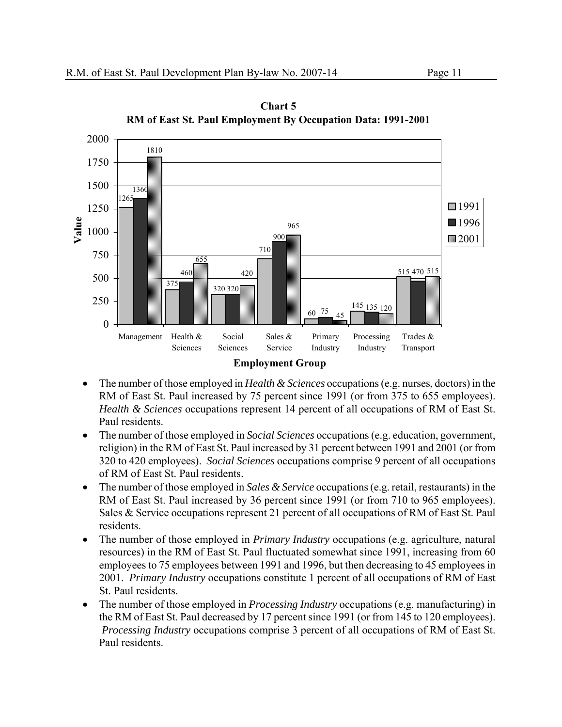

**Chart 5 RM of East St. Paul Employment By Occupation Data: 1991-2001**

- The number of those employed in *Health & Sciences* occupations (e.g. nurses, doctors) in the RM of East St. Paul increased by 75 percent since 1991 (or from 375 to 655 employees). *Health & Sciences* occupations represent 14 percent of all occupations of RM of East St. Paul residents.
- The number of those employed in *Social Sciences* occupations (e.g. education, government, religion) in the RM of East St. Paul increased by 31 percent between 1991 and 2001 (or from 320 to 420 employees). *Social Sciences* occupations comprise 9 percent of all occupations of RM of East St. Paul residents.
- The number of those employed in *Sales & Service* occupations (e.g. retail, restaurants) in the RM of East St. Paul increased by 36 percent since 1991 (or from 710 to 965 employees). Sales & Service occupations represent 21 percent of all occupations of RM of East St. Paul residents.
- The number of those employed in *Primary Industry* occupations (e.g. agriculture, natural resources) in the RM of East St. Paul fluctuated somewhat since 1991, increasing from 60 employees to 75 employees between 1991 and 1996, but then decreasing to 45 employees in 2001. *Primary Industry* occupations constitute 1 percent of all occupations of RM of East St. Paul residents.
- The number of those employed in *Processing Industry* occupations (e.g. manufacturing) in the RM of East St. Paul decreased by 17 percent since 1991 (or from 145 to 120 employees). *Processing Industry* occupations comprise 3 percent of all occupations of RM of East St. Paul residents.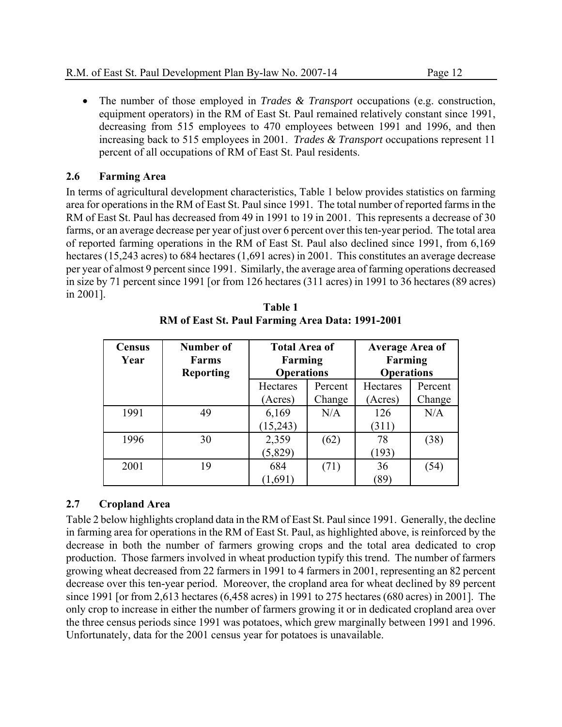The number of those employed in *Trades & Transport* occupations (e.g. construction, equipment operators) in the RM of East St. Paul remained relatively constant since 1991, decreasing from 515 employees to 470 employees between 1991 and 1996, and then increasing back to 515 employees in 2001. *Trades & Transport* occupations represent 11 percent of all occupations of RM of East St. Paul residents.

#### **2.6 Farming Area**

In terms of agricultural development characteristics, Table 1 below provides statistics on farming area for operations in the RM of East St. Paul since 1991. The total number of reported farms in the RM of East St. Paul has decreased from 49 in 1991 to 19 in 2001. This represents a decrease of 30 farms, or an average decrease per year of just over 6 percent over this ten-year period. The total area of reported farming operations in the RM of East St. Paul also declined since 1991, from 6,169 hectares (15,243 acres) to 684 hectares (1,691 acres) in 2001. This constitutes an average decrease per year of almost 9 percent since 1991. Similarly, the average area of farming operations decreased in size by 71 percent since 1991 [or from 126 hectares (311 acres) in 1991 to 36 hectares (89 acres) in 2001].

| <b>Census</b><br>Year | Number of<br><b>Farms</b><br><b>Reporting</b> | <b>Total Area of</b><br>Farming<br><b>Operations</b> |         | <b>Average Area of</b><br>Farming<br><b>Operations</b> |         |
|-----------------------|-----------------------------------------------|------------------------------------------------------|---------|--------------------------------------------------------|---------|
|                       |                                               | Hectares                                             | Percent | Hectares                                               | Percent |
|                       |                                               | (Acres)                                              | Change  |                                                        | Change  |
| 1991                  | 49                                            | 6,169                                                | N/A     | 126                                                    | N/A     |
|                       |                                               | (15,243)                                             |         | (311)                                                  |         |
| 1996                  | 30                                            | 2,359                                                | (62)    |                                                        | (38)    |
|                       |                                               | (5,829)                                              |         | (193)                                                  |         |
| 2001                  | 19                                            | 684<br>(71)                                          |         | 36                                                     | (54)    |
|                       |                                               | (1,691)                                              |         | 89                                                     |         |

**Table 1 RM of East St. Paul Farming Area Data: 1991-2001** 

#### **2.7 Cropland Area**

Table 2 below highlights cropland data in the RM of East St. Paul since 1991. Generally, the decline in farming area for operations in the RM of East St. Paul, as highlighted above, is reinforced by the decrease in both the number of farmers growing crops and the total area dedicated to crop production. Those farmers involved in wheat production typify this trend. The number of farmers growing wheat decreased from 22 farmers in 1991 to 4 farmers in 2001, representing an 82 percent decrease over this ten-year period. Moreover, the cropland area for wheat declined by 89 percent since 1991 [or from 2,613 hectares (6,458 acres) in 1991 to 275 hectares (680 acres) in 2001]. The only crop to increase in either the number of farmers growing it or in dedicated cropland area over the three census periods since 1991 was potatoes, which grew marginally between 1991 and 1996. Unfortunately, data for the 2001 census year for potatoes is unavailable.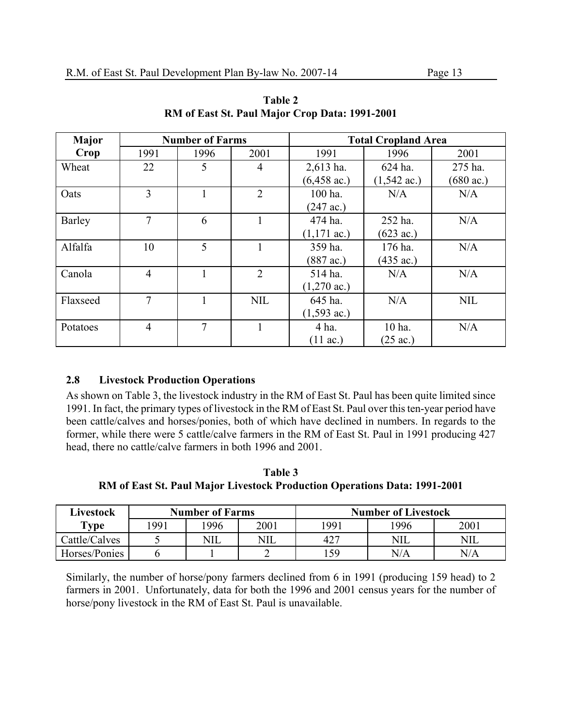| <b>Major</b>  |                | <b>Number of Farms</b> |                | <b>Total Cropland Area</b>                   |                       |                     |  |  |
|---------------|----------------|------------------------|----------------|----------------------------------------------|-----------------------|---------------------|--|--|
| Crop          | 1991           | 1996                   | 2001           | 1991<br>1996                                 |                       | 2001                |  |  |
| Wheat         | 22             | 5                      | $\overline{4}$ | $2,613$ ha.                                  | 624 ha.               |                     |  |  |
|               |                |                        |                | $(6,458 \text{ ac.})$                        | $(1,542 \text{ ac.})$ | $(680 \text{ ac.})$ |  |  |
| Oats          | 3              |                        | $\overline{2}$ | 100 ha.                                      | N/A                   | N/A                 |  |  |
|               |                |                        |                | $(247 \text{ ac.})$                          |                       |                     |  |  |
| <b>Barley</b> | 7              | 6                      |                | 474 ha.                                      | 252 ha.               | N/A                 |  |  |
|               |                |                        |                | $(1,171 \text{ ac.})$<br>$(623 \text{ ac.})$ |                       |                     |  |  |
| Alfalfa       | 10             | 5                      |                | 359 ha.                                      | 176 ha.               | N/A                 |  |  |
|               |                |                        |                | $(887 \text{ ac.})$<br>$(435 \text{ ac.})$   |                       |                     |  |  |
| Canola        | $\overline{4}$ |                        | $\overline{2}$ | N/A<br>514 ha.                               |                       | N/A                 |  |  |
|               |                |                        |                | $(1,270 \text{ ac.})$                        |                       |                     |  |  |
| Flaxseed      | $\tau$         |                        | <b>NIL</b>     | 645 ha.                                      | N/A                   | <b>NIL</b>          |  |  |
|               |                |                        |                | $(1,593 \text{ ac.})$                        |                       |                     |  |  |
| Potatoes      | $\overline{4}$ | 7                      |                | 4 ha.<br>10 ha.                              |                       | N/A                 |  |  |
|               |                |                        |                | $(11 \text{ ac.})$                           | $(25 \text{ ac.})$    |                     |  |  |

**Table 2 RM of East St. Paul Major Crop Data: 1991-2001** 

#### **2.8 Livestock Production Operations**

As shown on Table 3, the livestock industry in the RM of East St. Paul has been quite limited since 1991. In fact, the primary types of livestock in the RM of East St. Paul over this ten-year period have been cattle/calves and horses/ponies, both of which have declined in numbers. In regards to the former, while there were 5 cattle/calve farmers in the RM of East St. Paul in 1991 producing 427 head, there no cattle/calve farmers in both 1996 and 2001.

**Table 3 RM of East St. Paul Major Livestock Production Operations Data: 1991-2001** 

| Livestock     |      | <b>Number of Farms</b> |            | <b>Number of Livestock</b> |            |            |  |
|---------------|------|------------------------|------------|----------------------------|------------|------------|--|
| Type          | '991 | .996                   | 2001       | 1991                       | 1996       | 2001       |  |
| Cattle/Calves |      | NIL                    | <b>NIL</b> | 427                        | <b>NIL</b> | <b>NIL</b> |  |
| Horses/Ponies |      |                        |            | .59                        | $\rm N/A$  | $\rm N/A$  |  |

Similarly, the number of horse/pony farmers declined from 6 in 1991 (producing 159 head) to 2 farmers in 2001. Unfortunately, data for both the 1996 and 2001 census years for the number of horse/pony livestock in the RM of East St. Paul is unavailable.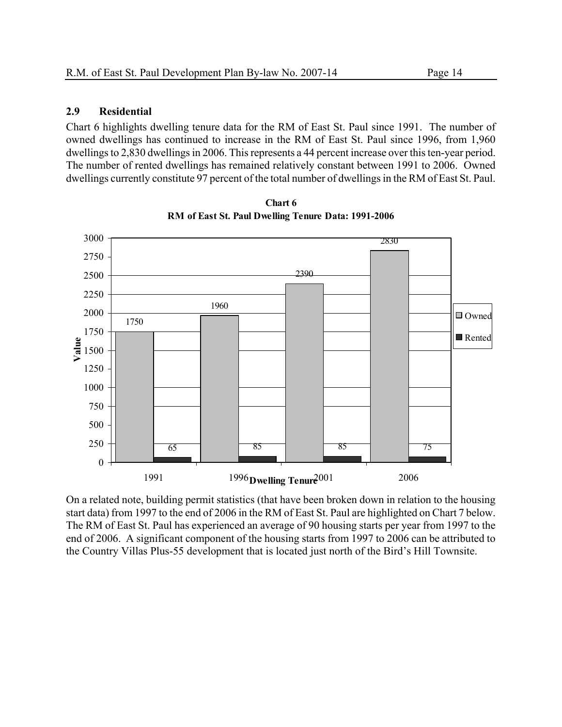#### **2.9 Residential**

Chart 6 highlights dwelling tenure data for the RM of East St. Paul since 1991. The number of owned dwellings has continued to increase in the RM of East St. Paul since 1996, from 1,960 dwellings to 2,830 dwellings in 2006. This represents a 44 percent increase over this ten-year period. The number of rented dwellings has remained relatively constant between 1991 to 2006. Owned dwellings currently constitute 97 percent of the total number of dwellings in the RM of East St. Paul.



**Chart 6 RM of East St. Paul Dwelling Tenure Data: 1991-2006**

On a related note, building permit statistics (that have been broken down in relation to the housing start data) from 1997 to the end of 2006 in the RM of East St. Paul are highlighted on Chart 7 below. The RM of East St. Paul has experienced an average of 90 housing starts per year from 1997 to the end of 2006. A significant component of the housing starts from 1997 to 2006 can be attributed to the Country Villas Plus-55 development that is located just north of the Bird's Hill Townsite.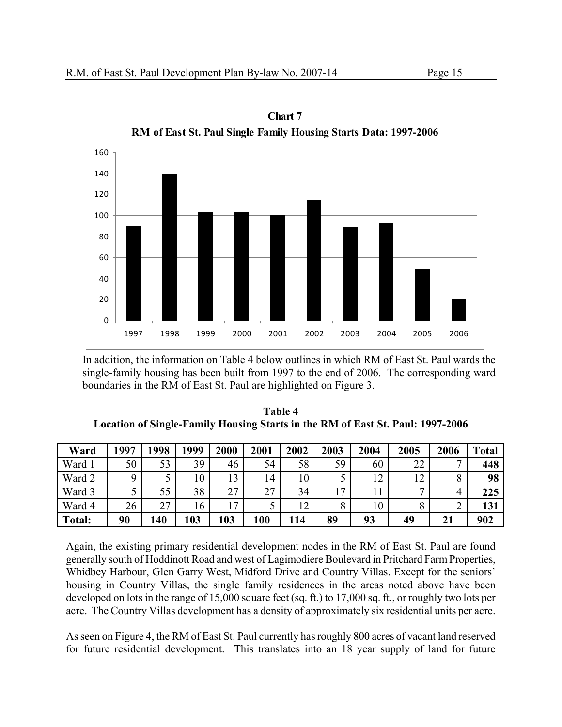

In addition, the information on Table 4 below outlines in which RM of East St. Paul wards the single-family housing has been built from 1997 to the end of 2006. The corresponding ward boundaries in the RM of East St. Paul are highlighted on Figure 3.

| Table 4                                                                        |
|--------------------------------------------------------------------------------|
| Location of Single-Family Housing Starts in the RM of East St. Paul: 1997-2006 |

| Ward          | 1997 | 1998 | 1999 | 2000         | 2001           | 2002 | 2003 | 2004 | 2005 | 2006 | <b>Total</b> |
|---------------|------|------|------|--------------|----------------|------|------|------|------|------|--------------|
| Ward 1        | 50   | 53   | 39   | 46           | 54             | 58   | 59   | 60   | 22   | ┍    | 448          |
| Ward 2        |      |      | 10   | 13           | $\overline{4}$ | 10   |      | 12   | 12   |      | 98           |
| Ward 3        |      | 55   | 38   | 27           | 27             | 34   | 17   |      |      |      | 225          |
| Ward 4        | 26   | 27   | 16   | $\mathbf{r}$ |                | 12   | 8    | 10   |      |      | 131          |
| <b>Total:</b> | 90   | 140  | 103  | 103          | 100            | 114  | 89   | 93   | 49   | 21   | 902          |

Again, the existing primary residential development nodes in the RM of East St. Paul are found generally south of Hoddinott Road and west of Lagimodiere Boulevard in Pritchard Farm Properties, Whidbey Harbour, Glen Garry West, Midford Drive and Country Villas. Except for the seniors' housing in Country Villas, the single family residences in the areas noted above have been developed on lots in the range of 15,000 square feet (sq. ft.) to 17,000 sq. ft., or roughly two lots per acre. The Country Villas development has a density of approximately six residential units per acre.

As seen on Figure 4, the RM of East St. Paul currently has roughly 800 acres of vacant land reserved for future residential development. This translates into an 18 year supply of land for future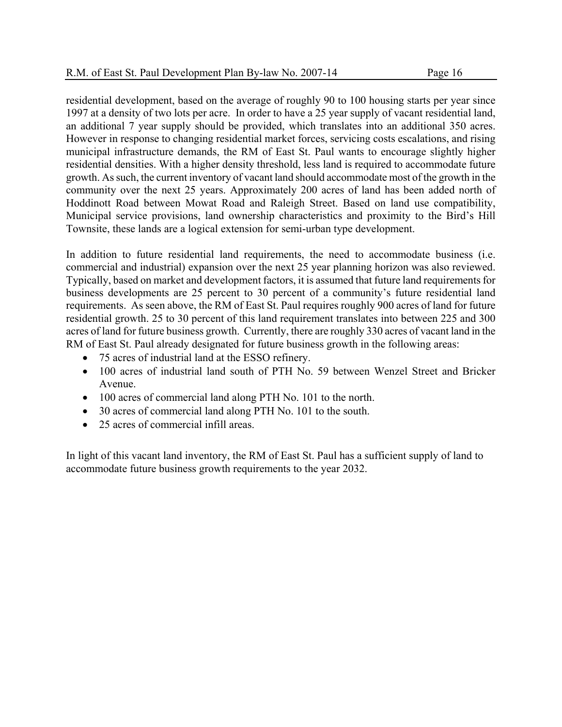residential development, based on the average of roughly 90 to 100 housing starts per year since 1997 at a density of two lots per acre. In order to have a 25 year supply of vacant residential land, an additional 7 year supply should be provided, which translates into an additional 350 acres. However in response to changing residential market forces, servicing costs escalations, and rising municipal infrastructure demands, the RM of East St. Paul wants to encourage slightly higher residential densities. With a higher density threshold, less land is required to accommodate future growth. As such, the current inventory of vacant land should accommodate most of the growth in the community over the next 25 years. Approximately 200 acres of land has been added north of Hoddinott Road between Mowat Road and Raleigh Street. Based on land use compatibility, Municipal service provisions, land ownership characteristics and proximity to the Bird's Hill Townsite, these lands are a logical extension for semi-urban type development.

In addition to future residential land requirements, the need to accommodate business (i.e. commercial and industrial) expansion over the next 25 year planning horizon was also reviewed. Typically, based on market and development factors, it is assumed that future land requirements for business developments are 25 percent to 30 percent of a community's future residential land requirements. As seen above, the RM of East St. Paul requires roughly 900 acres of land for future residential growth. 25 to 30 percent of this land requirement translates into between 225 and 300 acres of land for future business growth. Currently, there are roughly 330 acres of vacant land in the RM of East St. Paul already designated for future business growth in the following areas:

- 75 acres of industrial land at the ESSO refinery.
- 100 acres of industrial land south of PTH No. 59 between Wenzel Street and Bricker Avenue.
- 100 acres of commercial land along PTH No. 101 to the north.
- 30 acres of commercial land along PTH No. 101 to the south.
- 25 acres of commercial infill areas.

In light of this vacant land inventory, the RM of East St. Paul has a sufficient supply of land to accommodate future business growth requirements to the year 2032.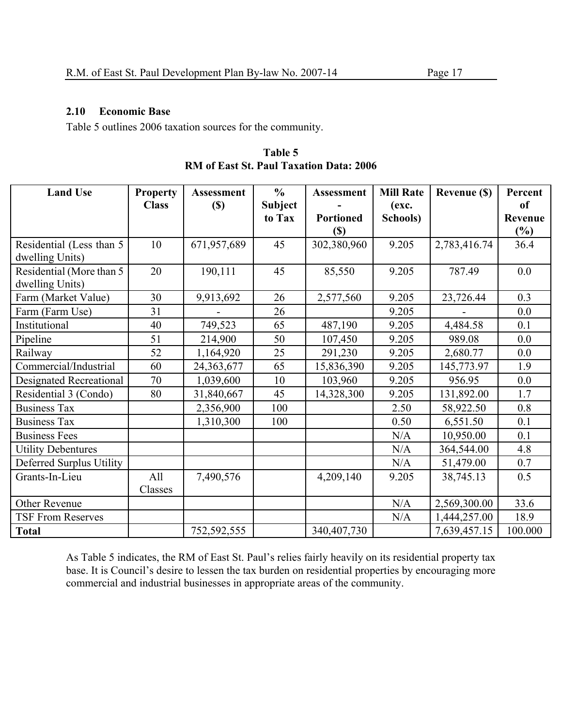#### **2.10 Economic Base**

Table 5 outlines 2006 taxation sources for the community.

| Table 5                                        |  |
|------------------------------------------------|--|
| <b>RM</b> of East St. Paul Taxation Data: 2006 |  |

| <b>Land Use</b>           | <b>Property</b> | <b>Assessment</b> | $\frac{0}{0}$  | <b>Assessment</b>          | <b>Mill Rate</b> | <b>Revenue (\$)</b> | Percent |
|---------------------------|-----------------|-------------------|----------------|----------------------------|------------------|---------------------|---------|
|                           | <b>Class</b>    | $(S)$             | <b>Subject</b> |                            | (exc.            |                     | of      |
|                           |                 |                   | to Tax         | <b>Portioned</b>           | Schools)         |                     | Revenue |
|                           |                 |                   |                | $\left( \mathbb{S}\right)$ |                  |                     | $(\%)$  |
| Residential (Less than 5  | 10              | 671,957,689       | 45             | 302,380,960                | 9.205            | 2,783,416.74        | 36.4    |
| dwelling Units)           |                 |                   |                |                            |                  |                     |         |
| Residential (More than 5  | 20              | 190,111           | 45             | 85,550                     | 9.205            | 787.49              | 0.0     |
| dwelling Units)           |                 |                   |                |                            |                  |                     |         |
| Farm (Market Value)       | 30              | 9,913,692         | 26             | 2,577,560                  | 9.205            | 23,726.44           | 0.3     |
| Farm (Farm Use)           | 31              |                   | 26             |                            | 9.205            |                     | 0.0     |
| Institutional             | 40              | 749,523           | 65             | 487,190                    | 9.205            | 4,484.58            | 0.1     |
| Pipeline                  | 51              | 214,900           | 50             | 107,450                    | 9.205            | 989.08              | 0.0     |
| Railway                   | 52              | 1,164,920         | 25             | 291,230                    | 9.205            | 2,680.77            | 0.0     |
| Commercial/Industrial     | 60              | 24,363,677        | 65             | 15,836,390                 | 9.205            | 145,773.97          | 1.9     |
| Designated Recreational   | 70              | 1,039,600         | 10             | 103,960                    | 9.205            | 956.95              | 0.0     |
| Residential 3 (Condo)     | 80              | 31,840,667        | 45             | 14,328,300                 | 9.205            | 131,892.00          | 1.7     |
| <b>Business Tax</b>       |                 | 2,356,900         | 100            |                            | 2.50             | 58,922.50           | 0.8     |
| <b>Business Tax</b>       |                 | 1,310,300         | 100            |                            | 0.50             | 6,551.50            | 0.1     |
| <b>Business Fees</b>      |                 |                   |                |                            | N/A              | 10,950.00           | 0.1     |
| <b>Utility Debentures</b> |                 |                   |                |                            | N/A              | 364,544.00          | 4.8     |
| Deferred Surplus Utility  |                 |                   |                |                            | N/A              | 51,479.00           | 0.7     |
| Grants-In-Lieu            | All             | 7,490,576         |                | 4,209,140                  | 9.205            | 38,745.13           | 0.5     |
|                           | Classes         |                   |                |                            |                  |                     |         |
| Other Revenue             |                 |                   |                |                            | N/A              | 2,569,300.00        | 33.6    |
| <b>TSF From Reserves</b>  |                 |                   |                |                            | N/A              | 1,444,257.00        | 18.9    |
| <b>Total</b>              |                 | 752,592,555       |                | 340,407,730                |                  | 7,639,457.15        | 100.000 |

As Table 5 indicates, the RM of East St. Paul's relies fairly heavily on its residential property tax base. It is Council's desire to lessen the tax burden on residential properties by encouraging more commercial and industrial businesses in appropriate areas of the community.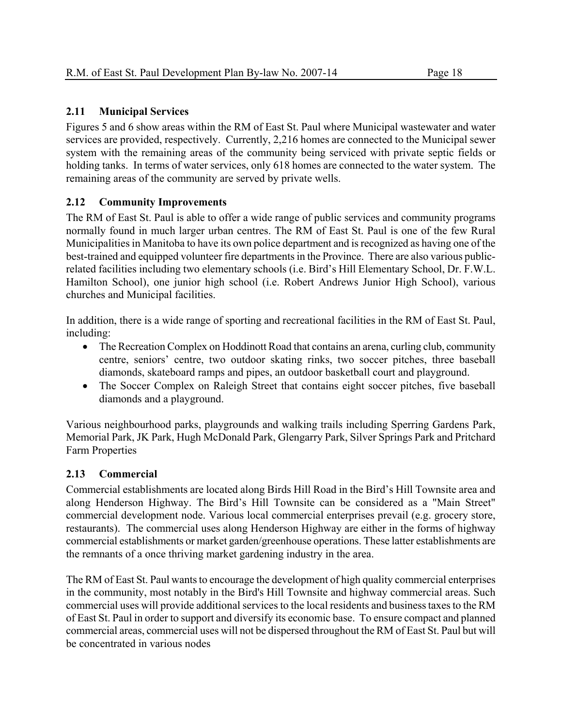#### **2.11 Municipal Services**

Figures 5 and 6 show areas within the RM of East St. Paul where Municipal wastewater and water services are provided, respectively. Currently, 2,216 homes are connected to the Municipal sewer system with the remaining areas of the community being serviced with private septic fields or holding tanks. In terms of water services, only 618 homes are connected to the water system. The remaining areas of the community are served by private wells.

#### **2.12 Community Improvements**

The RM of East St. Paul is able to offer a wide range of public services and community programs normally found in much larger urban centres. The RM of East St. Paul is one of the few Rural Municipalities in Manitoba to have its own police department and is recognized as having one of the best-trained and equipped volunteer fire departments in the Province. There are also various publicrelated facilities including two elementary schools (i.e. Bird's Hill Elementary School, Dr. F.W.L. Hamilton School), one junior high school (i.e. Robert Andrews Junior High School), various churches and Municipal facilities.

In addition, there is a wide range of sporting and recreational facilities in the RM of East St. Paul, including:

- The Recreation Complex on Hoddinott Road that contains an arena, curling club, community centre, seniors' centre, two outdoor skating rinks, two soccer pitches, three baseball diamonds, skateboard ramps and pipes, an outdoor basketball court and playground.
- The Soccer Complex on Raleigh Street that contains eight soccer pitches, five baseball diamonds and a playground.

Various neighbourhood parks, playgrounds and walking trails including Sperring Gardens Park, Memorial Park, JK Park, Hugh McDonald Park, Glengarry Park, Silver Springs Park and Pritchard Farm Properties

#### **2.13 Commercial**

Commercial establishments are located along Birds Hill Road in the Bird's Hill Townsite area and along Henderson Highway. The Bird's Hill Townsite can be considered as a "Main Street" commercial development node. Various local commercial enterprises prevail (e.g. grocery store, restaurants). The commercial uses along Henderson Highway are either in the forms of highway commercial establishments or market garden/greenhouse operations. These latter establishments are the remnants of a once thriving market gardening industry in the area.

The RM of East St. Paul wants to encourage the development of high quality commercial enterprises in the community, most notably in the Bird's Hill Townsite and highway commercial areas. Such commercial uses will provide additional services to the local residents and business taxes to the RM of East St. Paul in order to support and diversify its economic base. To ensure compact and planned commercial areas, commercial uses will not be dispersed throughout the RM of East St. Paul but will be concentrated in various nodes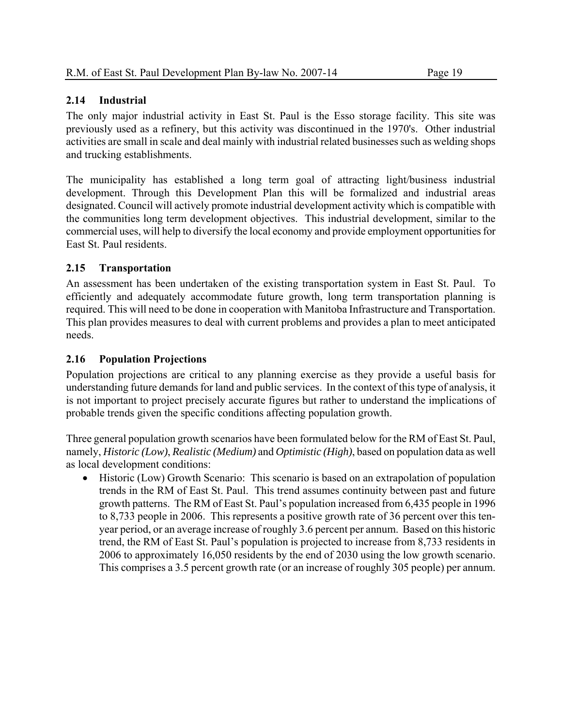#### **2.14 Industrial**

The only major industrial activity in East St. Paul is the Esso storage facility. This site was previously used as a refinery, but this activity was discontinued in the 1970's. Other industrial activities are small in scale and deal mainly with industrial related businesses such as welding shops and trucking establishments.

The municipality has established a long term goal of attracting light/business industrial development. Through this Development Plan this will be formalized and industrial areas designated. Council will actively promote industrial development activity which is compatible with the communities long term development objectives. This industrial development, similar to the commercial uses, will help to diversify the local economy and provide employment opportunities for East St. Paul residents.

#### **2.15 Transportation**

An assessment has been undertaken of the existing transportation system in East St. Paul. To efficiently and adequately accommodate future growth, long term transportation planning is required. This will need to be done in cooperation with Manitoba Infrastructure and Transportation. This plan provides measures to deal with current problems and provides a plan to meet anticipated needs.

#### **2.16 Population Projections**

Population projections are critical to any planning exercise as they provide a useful basis for understanding future demands for land and public services. In the context of this type of analysis, it is not important to project precisely accurate figures but rather to understand the implications of probable trends given the specific conditions affecting population growth.

Three general population growth scenarios have been formulated below for the RM of East St. Paul, namely, *Historic (Low)*, *Realistic (Medium)* and *Optimistic (High)*, based on population data as well as local development conditions:

 Historic (Low) Growth Scenario: This scenario is based on an extrapolation of population trends in the RM of East St. Paul. This trend assumes continuity between past and future growth patterns. The RM of East St. Paul's population increased from 6,435 people in 1996 to 8,733 people in 2006. This represents a positive growth rate of 36 percent over this tenyear period, or an average increase of roughly 3.6 percent per annum. Based on this historic trend, the RM of East St. Paul's population is projected to increase from 8,733 residents in 2006 to approximately 16,050 residents by the end of 2030 using the low growth scenario. This comprises a 3.5 percent growth rate (or an increase of roughly 305 people) per annum.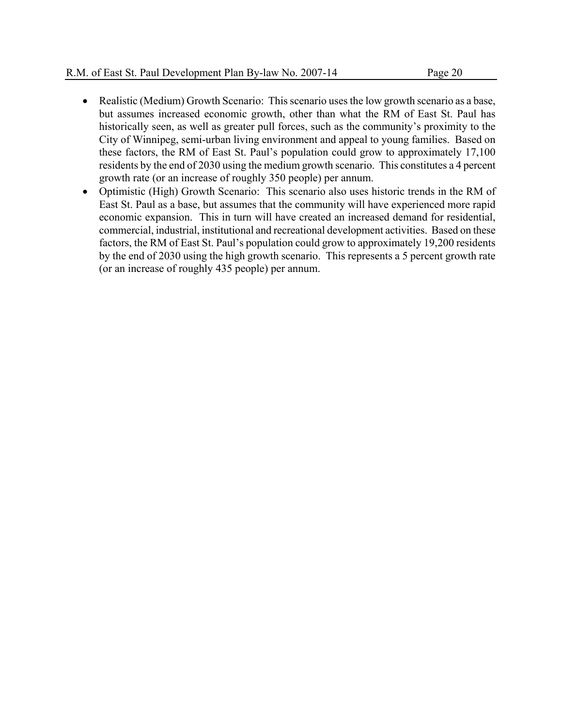- Realistic (Medium) Growth Scenario: This scenario uses the low growth scenario as a base, but assumes increased economic growth, other than what the RM of East St. Paul has historically seen, as well as greater pull forces, such as the community's proximity to the City of Winnipeg, semi-urban living environment and appeal to young families. Based on these factors, the RM of East St. Paul's population could grow to approximately 17,100 residents by the end of 2030 using the medium growth scenario. This constitutes a 4 percent growth rate (or an increase of roughly 350 people) per annum.
- Optimistic (High) Growth Scenario: This scenario also uses historic trends in the RM of East St. Paul as a base, but assumes that the community will have experienced more rapid economic expansion. This in turn will have created an increased demand for residential, commercial, industrial, institutional and recreational development activities. Based on these factors, the RM of East St. Paul's population could grow to approximately 19,200 residents by the end of 2030 using the high growth scenario. This represents a 5 percent growth rate (or an increase of roughly 435 people) per annum.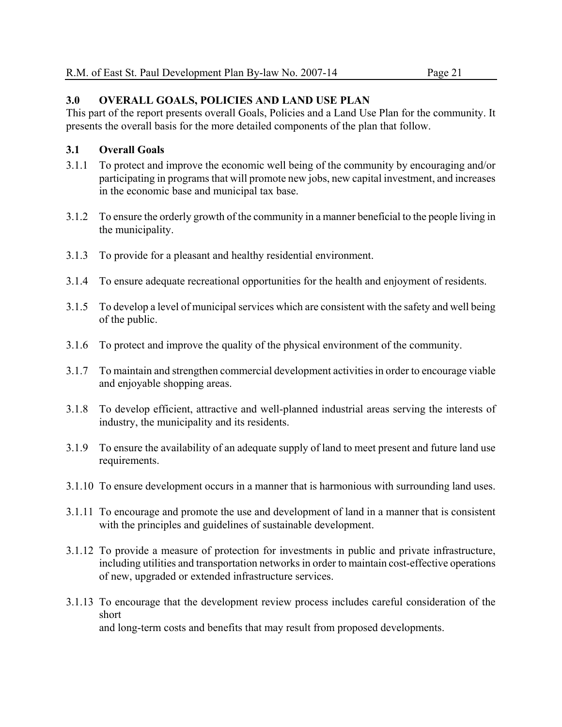#### **3.0 OVERALL GOALS, POLICIES AND LAND USE PLAN**

This part of the report presents overall Goals, Policies and a Land Use Plan for the community. It presents the overall basis for the more detailed components of the plan that follow.

#### **3.1 Overall Goals**

- 3.1.1 To protect and improve the economic well being of the community by encouraging and/or participating in programs that will promote new jobs, new capital investment, and increases in the economic base and municipal tax base.
- 3.1.2 To ensure the orderly growth of the community in a manner beneficial to the people living in the municipality.
- 3.1.3 To provide for a pleasant and healthy residential environment.
- 3.1.4 To ensure adequate recreational opportunities for the health and enjoyment of residents.
- 3.1.5 To develop a level of municipal services which are consistent with the safety and well being of the public.
- 3.1.6 To protect and improve the quality of the physical environment of the community.
- 3.1.7 To maintain and strengthen commercial development activities in order to encourage viable and enjoyable shopping areas.
- 3.1.8 To develop efficient, attractive and well-planned industrial areas serving the interests of industry, the municipality and its residents.
- 3.1.9 To ensure the availability of an adequate supply of land to meet present and future land use requirements.
- 3.1.10 To ensure development occurs in a manner that is harmonious with surrounding land uses.
- 3.1.11 To encourage and promote the use and development of land in a manner that is consistent with the principles and guidelines of sustainable development.
- 3.1.12 To provide a measure of protection for investments in public and private infrastructure, including utilities and transportation networks in order to maintain cost-effective operations of new, upgraded or extended infrastructure services.
- 3.1.13 To encourage that the development review process includes careful consideration of the short and long-term costs and benefits that may result from proposed developments.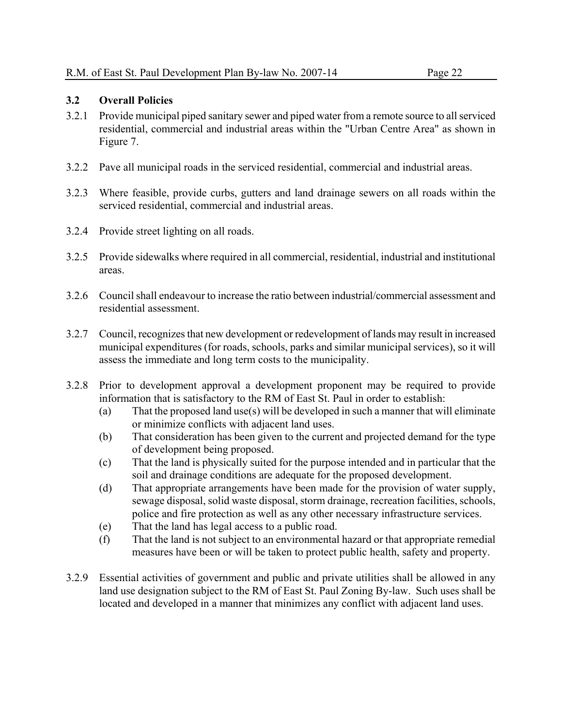#### **3.2 Overall Policies**

- 3.2.1 Provide municipal piped sanitary sewer and piped water from a remote source to all serviced residential, commercial and industrial areas within the "Urban Centre Area" as shown in Figure 7.
- 3.2.2 Pave all municipal roads in the serviced residential, commercial and industrial areas.
- 3.2.3 Where feasible, provide curbs, gutters and land drainage sewers on all roads within the serviced residential, commercial and industrial areas.
- 3.2.4 Provide street lighting on all roads.
- 3.2.5 Provide sidewalks where required in all commercial, residential, industrial and institutional areas.
- 3.2.6 Council shall endeavour to increase the ratio between industrial/commercial assessment and residential assessment.
- 3.2.7 Council, recognizes that new development or redevelopment of lands may result in increased municipal expenditures (for roads, schools, parks and similar municipal services), so it will assess the immediate and long term costs to the municipality.
- 3.2.8 Prior to development approval a development proponent may be required to provide information that is satisfactory to the RM of East St. Paul in order to establish:
	- (a) That the proposed land use(s) will be developed in such a manner that will eliminate or minimize conflicts with adjacent land uses.
	- (b) That consideration has been given to the current and projected demand for the type of development being proposed.
	- (c) That the land is physically suited for the purpose intended and in particular that the soil and drainage conditions are adequate for the proposed development.
	- (d) That appropriate arrangements have been made for the provision of water supply, sewage disposal, solid waste disposal, storm drainage, recreation facilities, schools, police and fire protection as well as any other necessary infrastructure services.
	- (e) That the land has legal access to a public road.
	- (f) That the land is not subject to an environmental hazard or that appropriate remedial measures have been or will be taken to protect public health, safety and property.
- 3.2.9 Essential activities of government and public and private utilities shall be allowed in any land use designation subject to the RM of East St. Paul Zoning By-law. Such uses shall be located and developed in a manner that minimizes any conflict with adjacent land uses.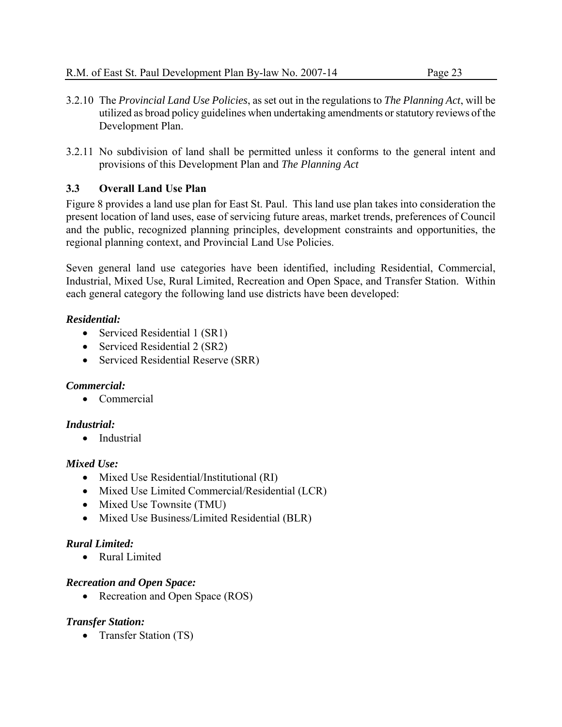- 3.2.10 The *Provincial Land Use Policies*, as set out in the regulations to *The Planning Act*, will be utilized as broad policy guidelines when undertaking amendments or statutory reviews of the Development Plan.
- 3.2.11 No subdivision of land shall be permitted unless it conforms to the general intent and provisions of this Development Plan and *The Planning Act*

#### **3.3 Overall Land Use Plan**

Figure 8 provides a land use plan for East St. Paul. This land use plan takes into consideration the present location of land uses, ease of servicing future areas, market trends, preferences of Council and the public, recognized planning principles, development constraints and opportunities, the regional planning context, and Provincial Land Use Policies.

Seven general land use categories have been identified, including Residential, Commercial, Industrial, Mixed Use, Rural Limited, Recreation and Open Space, and Transfer Station. Within each general category the following land use districts have been developed:

#### *Residential:*

- Serviced Residential 1 (SR1)
- Serviced Residential 2 (SR2)
- Serviced Residential Reserve (SRR)

#### *Commercial:*

• Commercial

#### *Industrial:*

• Industrial

#### *Mixed Use:*

- Mixed Use Residential/Institutional (RI)
- Mixed Use Limited Commercial/Residential (LCR)
- Mixed Use Townsite (TMU)
- Mixed Use Business/Limited Residential (BLR)

#### *Rural Limited:*

• Rural Limited

#### *Recreation and Open Space:*

• Recreation and Open Space (ROS)

#### *Transfer Station:*

• Transfer Station (TS)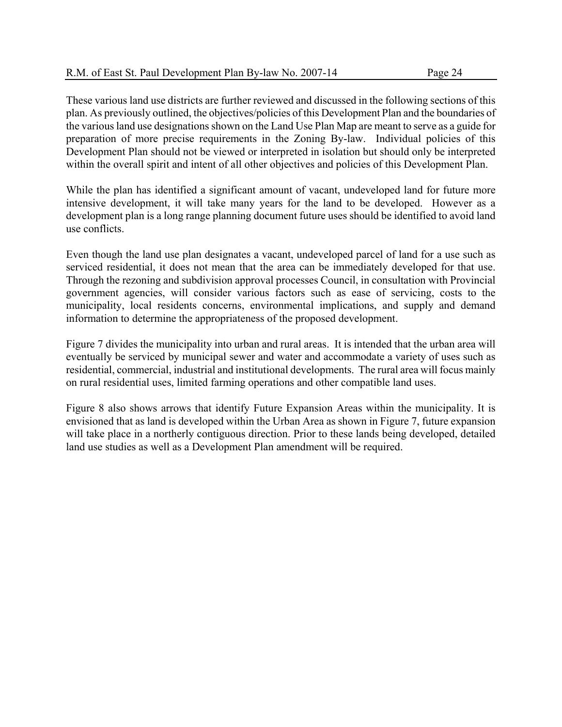These various land use districts are further reviewed and discussed in the following sections of this plan. As previously outlined, the objectives/policies of this Development Plan and the boundaries of the various land use designations shown on the Land Use Plan Map are meant to serve as a guide for preparation of more precise requirements in the Zoning By-law. Individual policies of this Development Plan should not be viewed or interpreted in isolation but should only be interpreted within the overall spirit and intent of all other objectives and policies of this Development Plan.

While the plan has identified a significant amount of vacant, undeveloped land for future more intensive development, it will take many years for the land to be developed. However as a development plan is a long range planning document future uses should be identified to avoid land use conflicts.

Even though the land use plan designates a vacant, undeveloped parcel of land for a use such as serviced residential, it does not mean that the area can be immediately developed for that use. Through the rezoning and subdivision approval processes Council, in consultation with Provincial government agencies, will consider various factors such as ease of servicing, costs to the municipality, local residents concerns, environmental implications, and supply and demand information to determine the appropriateness of the proposed development.

Figure 7 divides the municipality into urban and rural areas. It is intended that the urban area will eventually be serviced by municipal sewer and water and accommodate a variety of uses such as residential, commercial, industrial and institutional developments. The rural area will focus mainly on rural residential uses, limited farming operations and other compatible land uses.

Figure 8 also shows arrows that identify Future Expansion Areas within the municipality. It is envisioned that as land is developed within the Urban Area as shown in Figure 7, future expansion will take place in a northerly contiguous direction. Prior to these lands being developed, detailed land use studies as well as a Development Plan amendment will be required.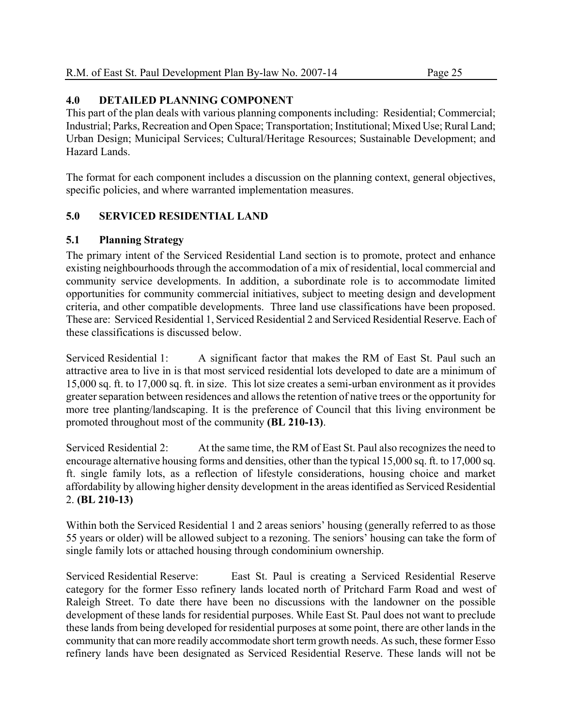#### **4.0 DETAILED PLANNING COMPONENT**

This part of the plan deals with various planning components including: Residential; Commercial; Industrial; Parks, Recreation and Open Space; Transportation; Institutional; Mixed Use; Rural Land; Urban Design; Municipal Services; Cultural/Heritage Resources; Sustainable Development; and Hazard Lands.

The format for each component includes a discussion on the planning context, general objectives, specific policies, and where warranted implementation measures.

#### **5.0 SERVICED RESIDENTIAL LAND**

#### **5.1 Planning Strategy**

The primary intent of the Serviced Residential Land section is to promote, protect and enhance existing neighbourhoods through the accommodation of a mix of residential, local commercial and community service developments. In addition, a subordinate role is to accommodate limited opportunities for community commercial initiatives, subject to meeting design and development criteria, and other compatible developments. Three land use classifications have been proposed. These are: Serviced Residential 1, Serviced Residential 2 and Serviced Residential Reserve. Each of these classifications is discussed below.

Serviced Residential 1: A significant factor that makes the RM of East St. Paul such an attractive area to live in is that most serviced residential lots developed to date are a minimum of 15,000 sq. ft. to 17,000 sq. ft. in size. This lot size creates a semi-urban environment as it provides greater separation between residences and allows the retention of native trees or the opportunity for more tree planting/landscaping. It is the preference of Council that this living environment be promoted throughout most of the community **(BL 210-13)**.

Serviced Residential 2: At the same time, the RM of East St. Paul also recognizes the need to encourage alternative housing forms and densities, other than the typical 15,000 sq. ft. to 17,000 sq. ft. single family lots, as a reflection of lifestyle considerations, housing choice and market affordability by allowing higher density development in the areas identified as Serviced Residential 2. **(BL 210-13)** 

Within both the Serviced Residential 1 and 2 areas seniors' housing (generally referred to as those 55 years or older) will be allowed subject to a rezoning. The seniors' housing can take the form of single family lots or attached housing through condominium ownership.

Serviced Residential Reserve: East St. Paul is creating a Serviced Residential Reserve category for the former Esso refinery lands located north of Pritchard Farm Road and west of Raleigh Street. To date there have been no discussions with the landowner on the possible development of these lands for residential purposes. While East St. Paul does not want to preclude these lands from being developed for residential purposes at some point, there are other lands in the community that can more readily accommodate short term growth needs. As such, these former Esso refinery lands have been designated as Serviced Residential Reserve. These lands will not be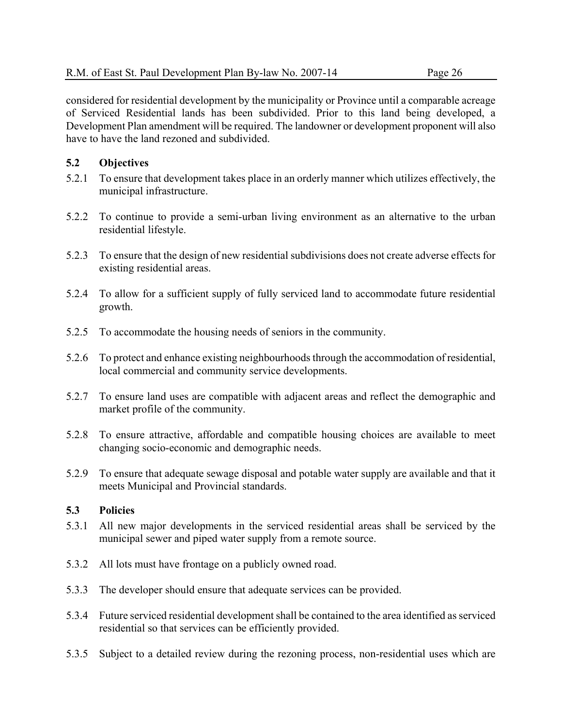considered for residential development by the municipality or Province until a comparable acreage of Serviced Residential lands has been subdivided. Prior to this land being developed, a Development Plan amendment will be required. The landowner or development proponent will also have to have the land rezoned and subdivided.

# **5.2 Objectives**

- 5.2.1 To ensure that development takes place in an orderly manner which utilizes effectively, the municipal infrastructure.
- 5.2.2 To continue to provide a semi-urban living environment as an alternative to the urban residential lifestyle.
- 5.2.3 To ensure that the design of new residential subdivisions does not create adverse effects for existing residential areas.
- 5.2.4 To allow for a sufficient supply of fully serviced land to accommodate future residential growth.
- 5.2.5 To accommodate the housing needs of seniors in the community.
- 5.2.6 To protect and enhance existing neighbourhoods through the accommodation of residential, local commercial and community service developments.
- 5.2.7 To ensure land uses are compatible with adjacent areas and reflect the demographic and market profile of the community.
- 5.2.8 To ensure attractive, affordable and compatible housing choices are available to meet changing socio-economic and demographic needs.
- 5.2.9 To ensure that adequate sewage disposal and potable water supply are available and that it meets Municipal and Provincial standards.

- 5.3.1 All new major developments in the serviced residential areas shall be serviced by the municipal sewer and piped water supply from a remote source.
- 5.3.2 All lots must have frontage on a publicly owned road.
- 5.3.3 The developer should ensure that adequate services can be provided.
- 5.3.4 Future serviced residential development shall be contained to the area identified as serviced residential so that services can be efficiently provided.
- 5.3.5 Subject to a detailed review during the rezoning process, non-residential uses which are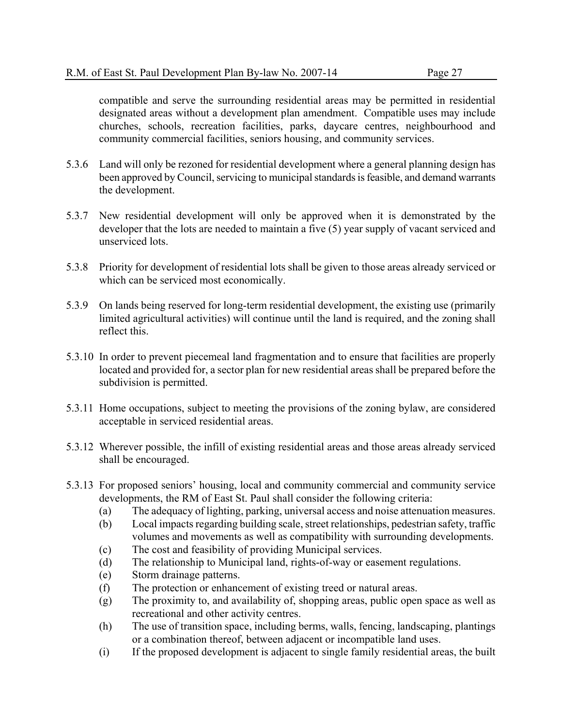compatible and serve the surrounding residential areas may be permitted in residential designated areas without a development plan amendment. Compatible uses may include churches, schools, recreation facilities, parks, daycare centres, neighbourhood and community commercial facilities, seniors housing, and community services.

- 5.3.6 Land will only be rezoned for residential development where a general planning design has been approved by Council, servicing to municipal standards is feasible, and demand warrants the development.
- 5.3.7 New residential development will only be approved when it is demonstrated by the developer that the lots are needed to maintain a five (5) year supply of vacant serviced and unserviced lots.
- 5.3.8 Priority for development of residential lots shall be given to those areas already serviced or which can be serviced most economically.
- 5.3.9 On lands being reserved for long-term residential development, the existing use (primarily limited agricultural activities) will continue until the land is required, and the zoning shall reflect this.
- 5.3.10 In order to prevent piecemeal land fragmentation and to ensure that facilities are properly located and provided for, a sector plan for new residential areas shall be prepared before the subdivision is permitted.
- 5.3.11 Home occupations, subject to meeting the provisions of the zoning bylaw, are considered acceptable in serviced residential areas.
- 5.3.12 Wherever possible, the infill of existing residential areas and those areas already serviced shall be encouraged.
- 5.3.13 For proposed seniors' housing, local and community commercial and community service developments, the RM of East St. Paul shall consider the following criteria:
	- (a) The adequacy of lighting, parking, universal access and noise attenuation measures.
	- (b) Local impacts regarding building scale, street relationships, pedestrian safety, traffic volumes and movements as well as compatibility with surrounding developments.
	- (c) The cost and feasibility of providing Municipal services.
	- (d) The relationship to Municipal land, rights-of-way or easement regulations.
	- (e) Storm drainage patterns.
	- (f) The protection or enhancement of existing treed or natural areas.
	- (g) The proximity to, and availability of, shopping areas, public open space as well as recreational and other activity centres.
	- (h) The use of transition space, including berms, walls, fencing, landscaping, plantings or a combination thereof, between adjacent or incompatible land uses.
	- (i) If the proposed development is adjacent to single family residential areas, the built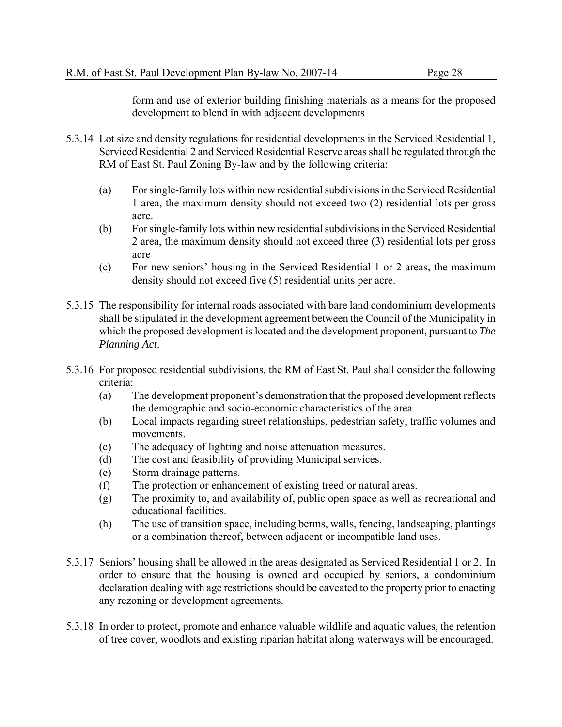form and use of exterior building finishing materials as a means for the proposed development to blend in with adjacent developments

- 5.3.14 Lot size and density regulations for residential developments in the Serviced Residential 1, Serviced Residential 2 and Serviced Residential Reserve areas shall be regulated through the RM of East St. Paul Zoning By-law and by the following criteria:
	- (a) For single-family lots within new residential subdivisions in the Serviced Residential 1 area, the maximum density should not exceed two (2) residential lots per gross acre.
	- (b) For single-family lots within new residential subdivisions in the Serviced Residential 2 area, the maximum density should not exceed three (3) residential lots per gross acre
	- (c) For new seniors' housing in the Serviced Residential 1 or 2 areas, the maximum density should not exceed five (5) residential units per acre.
- 5.3.15 The responsibility for internal roads associated with bare land condominium developments shall be stipulated in the development agreement between the Council of the Municipality in which the proposed development is located and the development proponent, pursuant to *The Planning Act*.
- 5.3.16 For proposed residential subdivisions, the RM of East St. Paul shall consider the following criteria:
	- (a) The development proponent's demonstration that the proposed development reflects the demographic and socio-economic characteristics of the area.
	- (b) Local impacts regarding street relationships, pedestrian safety, traffic volumes and movements.
	- (c) The adequacy of lighting and noise attenuation measures.
	- (d) The cost and feasibility of providing Municipal services.
	- (e) Storm drainage patterns.
	- (f) The protection or enhancement of existing treed or natural areas.
	- (g) The proximity to, and availability of, public open space as well as recreational and educational facilities.
	- (h) The use of transition space, including berms, walls, fencing, landscaping, plantings or a combination thereof, between adjacent or incompatible land uses.
- 5.3.17 Seniors' housing shall be allowed in the areas designated as Serviced Residential 1 or 2. In order to ensure that the housing is owned and occupied by seniors, a condominium declaration dealing with age restrictions should be caveated to the property prior to enacting any rezoning or development agreements.
- 5.3.18 In order to protect, promote and enhance valuable wildlife and aquatic values, the retention of tree cover, woodlots and existing riparian habitat along waterways will be encouraged.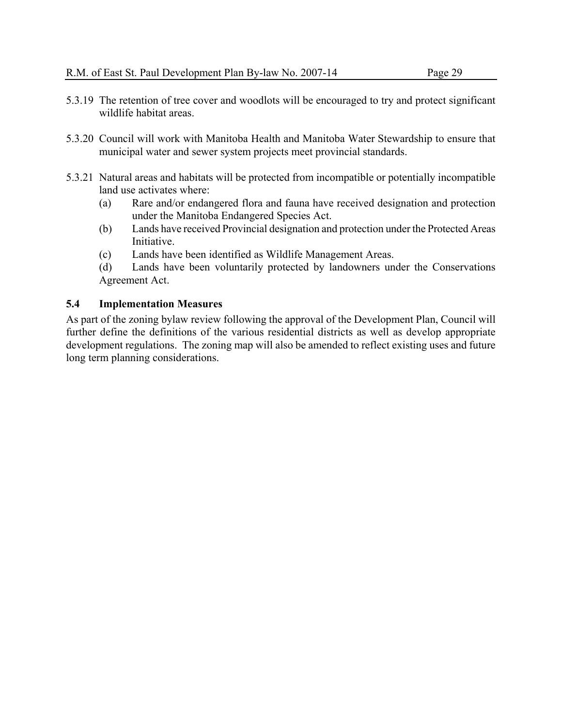- 5.3.19 The retention of tree cover and woodlots will be encouraged to try and protect significant wildlife habitat areas.
- 5.3.20 Council will work with Manitoba Health and Manitoba Water Stewardship to ensure that municipal water and sewer system projects meet provincial standards.
- 5.3.21 Natural areas and habitats will be protected from incompatible or potentially incompatible land use activates where:
	- (a) Rare and/or endangered flora and fauna have received designation and protection under the Manitoba Endangered Species Act.
	- (b) Lands have received Provincial designation and protection under the Protected Areas Initiative.
	- (c) Lands have been identified as Wildlife Management Areas.
	- (d) Lands have been voluntarily protected by landowners under the Conservations Agreement Act.

As part of the zoning bylaw review following the approval of the Development Plan, Council will further define the definitions of the various residential districts as well as develop appropriate development regulations. The zoning map will also be amended to reflect existing uses and future long term planning considerations.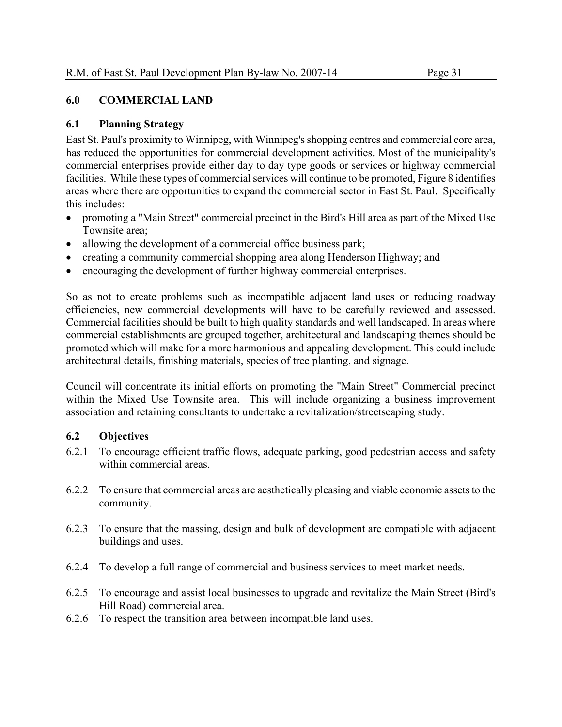#### **6.0 COMMERCIAL LAND**

# **6.1 Planning Strategy**

East St. Paul's proximity to Winnipeg, with Winnipeg's shopping centres and commercial core area, has reduced the opportunities for commercial development activities. Most of the municipality's commercial enterprises provide either day to day type goods or services or highway commercial facilities. While these types of commercial services will continue to be promoted, Figure 8 identifies areas where there are opportunities to expand the commercial sector in East St. Paul. Specifically this includes:

- promoting a "Main Street" commercial precinct in the Bird's Hill area as part of the Mixed Use Townsite area;
- allowing the development of a commercial office business park;
- creating a community commercial shopping area along Henderson Highway; and
- encouraging the development of further highway commercial enterprises.

So as not to create problems such as incompatible adjacent land uses or reducing roadway efficiencies, new commercial developments will have to be carefully reviewed and assessed. Commercial facilities should be built to high quality standards and well landscaped. In areas where commercial establishments are grouped together, architectural and landscaping themes should be promoted which will make for a more harmonious and appealing development. This could include architectural details, finishing materials, species of tree planting, and signage.

Council will concentrate its initial efforts on promoting the "Main Street" Commercial precinct within the Mixed Use Townsite area. This will include organizing a business improvement association and retaining consultants to undertake a revitalization/streetscaping study.

# **6.2 Objectives**

- 6.2.1 To encourage efficient traffic flows, adequate parking, good pedestrian access and safety within commercial areas.
- 6.2.2 To ensure that commercial areas are aesthetically pleasing and viable economic assets to the community.
- 6.2.3 To ensure that the massing, design and bulk of development are compatible with adjacent buildings and uses.
- 6.2.4 To develop a full range of commercial and business services to meet market needs.
- 6.2.5 To encourage and assist local businesses to upgrade and revitalize the Main Street (Bird's Hill Road) commercial area.
- 6.2.6 To respect the transition area between incompatible land uses.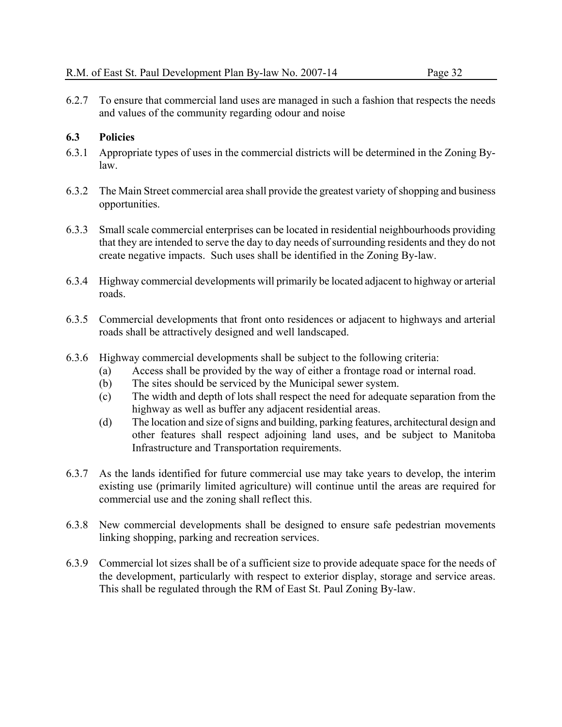6.2.7 To ensure that commercial land uses are managed in such a fashion that respects the needs and values of the community regarding odour and noise

- 6.3.1 Appropriate types of uses in the commercial districts will be determined in the Zoning Bylaw.
- 6.3.2 The Main Street commercial area shall provide the greatest variety of shopping and business opportunities.
- 6.3.3 Small scale commercial enterprises can be located in residential neighbourhoods providing that they are intended to serve the day to day needs of surrounding residents and they do not create negative impacts. Such uses shall be identified in the Zoning By-law.
- 6.3.4 Highway commercial developments will primarily be located adjacent to highway or arterial roads.
- 6.3.5 Commercial developments that front onto residences or adjacent to highways and arterial roads shall be attractively designed and well landscaped.
- 6.3.6 Highway commercial developments shall be subject to the following criteria:
	- (a) Access shall be provided by the way of either a frontage road or internal road.
	- (b) The sites should be serviced by the Municipal sewer system.
	- (c) The width and depth of lots shall respect the need for adequate separation from the highway as well as buffer any adjacent residential areas.
	- (d) The location and size of signs and building, parking features, architectural design and other features shall respect adjoining land uses, and be subject to Manitoba Infrastructure and Transportation requirements.
- 6.3.7 As the lands identified for future commercial use may take years to develop, the interim existing use (primarily limited agriculture) will continue until the areas are required for commercial use and the zoning shall reflect this.
- 6.3.8 New commercial developments shall be designed to ensure safe pedestrian movements linking shopping, parking and recreation services.
- 6.3.9 Commercial lot sizes shall be of a sufficient size to provide adequate space for the needs of the development, particularly with respect to exterior display, storage and service areas. This shall be regulated through the RM of East St. Paul Zoning By-law.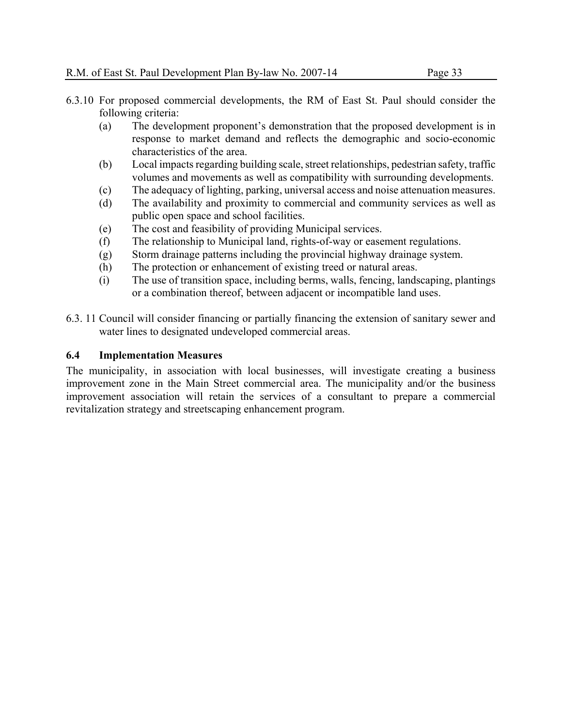- 6.3.10 For proposed commercial developments, the RM of East St. Paul should consider the following criteria:
	- (a) The development proponent's demonstration that the proposed development is in response to market demand and reflects the demographic and socio-economic characteristics of the area.
	- (b) Local impacts regarding building scale, street relationships, pedestrian safety, traffic volumes and movements as well as compatibility with surrounding developments.
	- (c) The adequacy of lighting, parking, universal access and noise attenuation measures.
	- (d) The availability and proximity to commercial and community services as well as public open space and school facilities.
	- (e) The cost and feasibility of providing Municipal services.
	- (f) The relationship to Municipal land, rights-of-way or easement regulations.
	- (g) Storm drainage patterns including the provincial highway drainage system.
	- (h) The protection or enhancement of existing treed or natural areas.
	- (i) The use of transition space, including berms, walls, fencing, landscaping, plantings or a combination thereof, between adjacent or incompatible land uses.
- 6.3. 11 Council will consider financing or partially financing the extension of sanitary sewer and water lines to designated undeveloped commercial areas.

The municipality, in association with local businesses, will investigate creating a business improvement zone in the Main Street commercial area. The municipality and/or the business improvement association will retain the services of a consultant to prepare a commercial revitalization strategy and streetscaping enhancement program.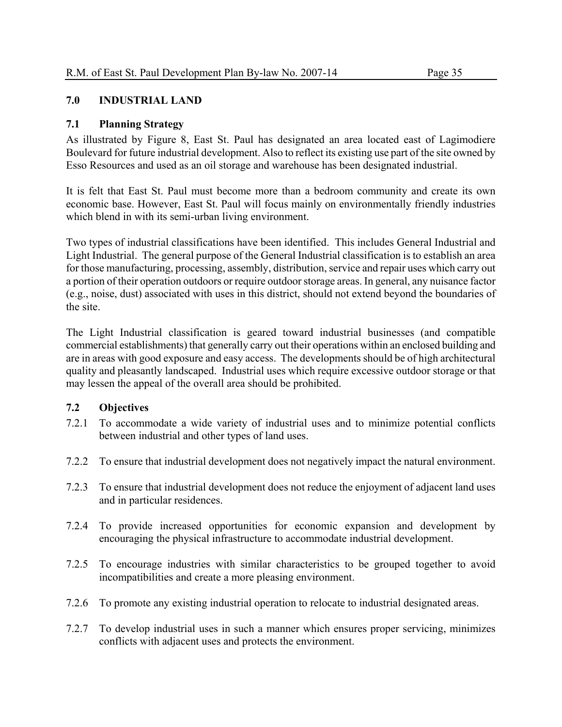# **7.0 INDUSTRIAL LAND**

# **7.1 Planning Strategy**

As illustrated by Figure 8, East St. Paul has designated an area located east of Lagimodiere Boulevard for future industrial development. Also to reflect its existing use part of the site owned by Esso Resources and used as an oil storage and warehouse has been designated industrial.

It is felt that East St. Paul must become more than a bedroom community and create its own economic base. However, East St. Paul will focus mainly on environmentally friendly industries which blend in with its semi-urban living environment.

Two types of industrial classifications have been identified. This includes General Industrial and Light Industrial. The general purpose of the General Industrial classification is to establish an area for those manufacturing, processing, assembly, distribution, service and repair uses which carry out a portion of their operation outdoors or require outdoor storage areas. In general, any nuisance factor (e.g., noise, dust) associated with uses in this district, should not extend beyond the boundaries of the site.

The Light Industrial classification is geared toward industrial businesses (and compatible commercial establishments) that generally carry out their operations within an enclosed building and are in areas with good exposure and easy access. The developments should be of high architectural quality and pleasantly landscaped. Industrial uses which require excessive outdoor storage or that may lessen the appeal of the overall area should be prohibited.

# **7.2 Objectives**

- 7.2.1 To accommodate a wide variety of industrial uses and to minimize potential conflicts between industrial and other types of land uses.
- 7.2.2 To ensure that industrial development does not negatively impact the natural environment.
- 7.2.3 To ensure that industrial development does not reduce the enjoyment of adjacent land uses and in particular residences.
- 7.2.4 To provide increased opportunities for economic expansion and development by encouraging the physical infrastructure to accommodate industrial development.
- 7.2.5 To encourage industries with similar characteristics to be grouped together to avoid incompatibilities and create a more pleasing environment.
- 7.2.6 To promote any existing industrial operation to relocate to industrial designated areas.
- 7.2.7 To develop industrial uses in such a manner which ensures proper servicing, minimizes conflicts with adjacent uses and protects the environment.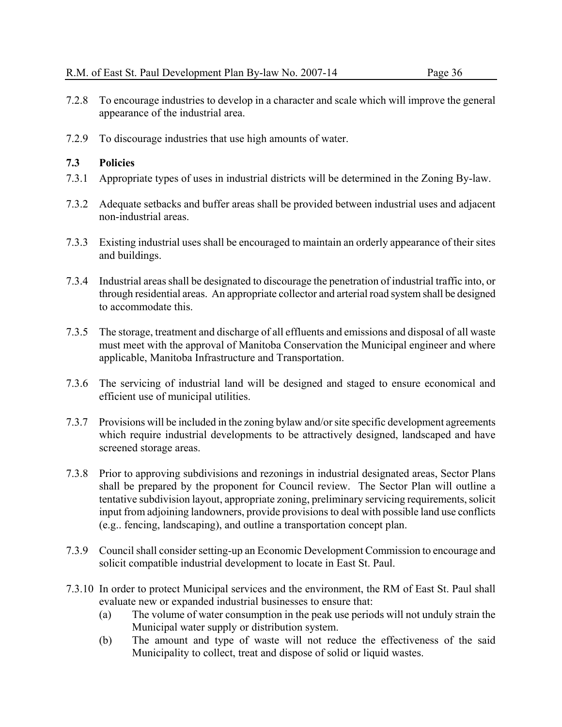- 7.2.8 To encourage industries to develop in a character and scale which will improve the general appearance of the industrial area.
- 7.2.9 To discourage industries that use high amounts of water.

- 7.3.1 Appropriate types of uses in industrial districts will be determined in the Zoning By-law.
- 7.3.2 Adequate setbacks and buffer areas shall be provided between industrial uses and adjacent non-industrial areas.
- 7.3.3 Existing industrial uses shall be encouraged to maintain an orderly appearance of their sites and buildings.
- 7.3.4 Industrial areas shall be designated to discourage the penetration of industrial traffic into, or through residential areas. An appropriate collector and arterial road system shall be designed to accommodate this.
- 7.3.5 The storage, treatment and discharge of all effluents and emissions and disposal of all waste must meet with the approval of Manitoba Conservation the Municipal engineer and where applicable, Manitoba Infrastructure and Transportation.
- 7.3.6 The servicing of industrial land will be designed and staged to ensure economical and efficient use of municipal utilities.
- 7.3.7 Provisions will be included in the zoning bylaw and/or site specific development agreements which require industrial developments to be attractively designed, landscaped and have screened storage areas.
- 7.3.8 Prior to approving subdivisions and rezonings in industrial designated areas, Sector Plans shall be prepared by the proponent for Council review. The Sector Plan will outline a tentative subdivision layout, appropriate zoning, preliminary servicing requirements, solicit input from adjoining landowners, provide provisions to deal with possible land use conflicts (e.g.. fencing, landscaping), and outline a transportation concept plan.
- 7.3.9 Council shall consider setting-up an Economic Development Commission to encourage and solicit compatible industrial development to locate in East St. Paul.
- 7.3.10 In order to protect Municipal services and the environment, the RM of East St. Paul shall evaluate new or expanded industrial businesses to ensure that:
	- (a) The volume of water consumption in the peak use periods will not unduly strain the Municipal water supply or distribution system.
	- (b) The amount and type of waste will not reduce the effectiveness of the said Municipality to collect, treat and dispose of solid or liquid wastes.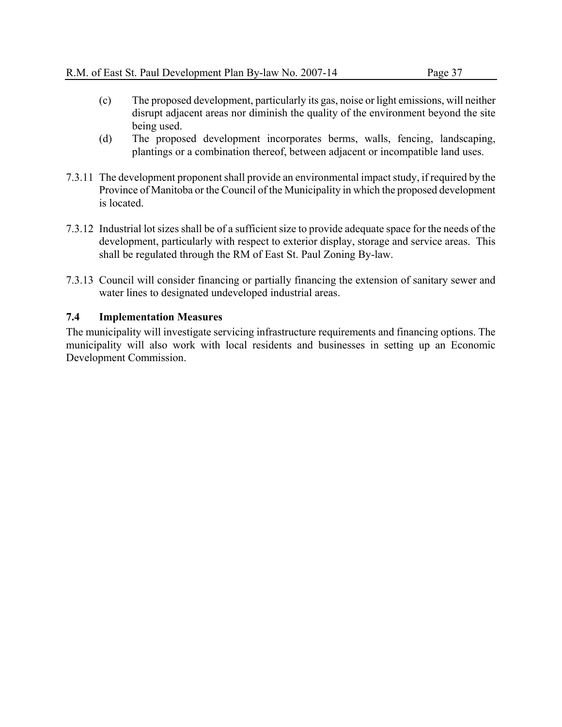- (c) The proposed development, particularly its gas, noise or light emissions, will neither disrupt adjacent areas nor diminish the quality of the environment beyond the site being used.
- (d) The proposed development incorporates berms, walls, fencing, landscaping, plantings or a combination thereof, between adjacent or incompatible land uses.
- 7.3.11 The development proponent shall provide an environmental impact study, if required by the Province of Manitoba or the Council of the Municipality in which the proposed development is located.
- 7.3.12 Industrial lot sizes shall be of a sufficient size to provide adequate space for the needs of the development, particularly with respect to exterior display, storage and service areas. This shall be regulated through the RM of East St. Paul Zoning By-law.
- 7.3.13 Council will consider financing or partially financing the extension of sanitary sewer and water lines to designated undeveloped industrial areas.

The municipality will investigate servicing infrastructure requirements and financing options. The municipality will also work with local residents and businesses in setting up an Economic Development Commission.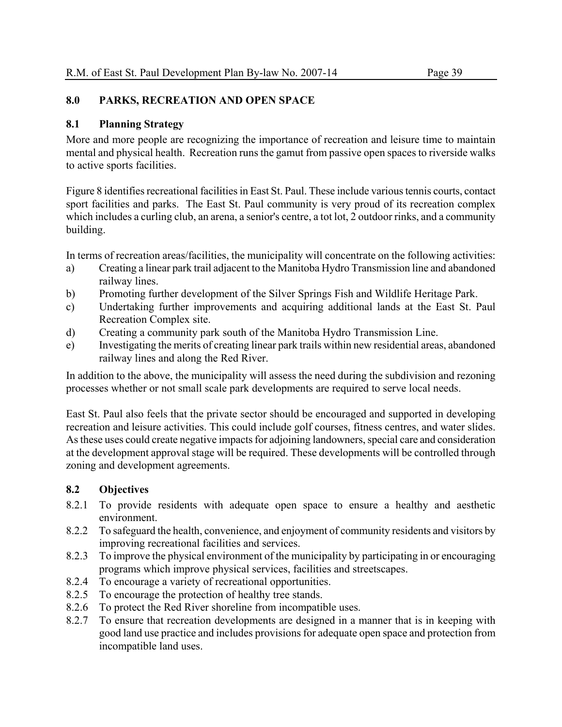# **8.0 PARKS, RECREATION AND OPEN SPACE**

# **8.1 Planning Strategy**

More and more people are recognizing the importance of recreation and leisure time to maintain mental and physical health. Recreation runs the gamut from passive open spaces to riverside walks to active sports facilities.

Figure 8 identifies recreational facilities in East St. Paul. These include various tennis courts, contact sport facilities and parks. The East St. Paul community is very proud of its recreation complex which includes a curling club, an arena, a senior's centre, a tot lot, 2 outdoor rinks, and a community building.

In terms of recreation areas/facilities, the municipality will concentrate on the following activities:

- a) Creating a linear park trail adjacent to the Manitoba Hydro Transmission line and abandoned railway lines.
- b) Promoting further development of the Silver Springs Fish and Wildlife Heritage Park.
- c) Undertaking further improvements and acquiring additional lands at the East St. Paul Recreation Complex site.
- d) Creating a community park south of the Manitoba Hydro Transmission Line.
- e) Investigating the merits of creating linear park trails within new residential areas, abandoned railway lines and along the Red River.

In addition to the above, the municipality will assess the need during the subdivision and rezoning processes whether or not small scale park developments are required to serve local needs.

East St. Paul also feels that the private sector should be encouraged and supported in developing recreation and leisure activities. This could include golf courses, fitness centres, and water slides. As these uses could create negative impacts for adjoining landowners, special care and consideration at the development approval stage will be required. These developments will be controlled through zoning and development agreements.

# **8.2 Objectives**

- 8.2.1 To provide residents with adequate open space to ensure a healthy and aesthetic environment.
- 8.2.2 To safeguard the health, convenience, and enjoyment of community residents and visitors by improving recreational facilities and services.
- 8.2.3 To improve the physical environment of the municipality by participating in or encouraging programs which improve physical services, facilities and streetscapes.
- 8.2.4 To encourage a variety of recreational opportunities.
- 8.2.5 To encourage the protection of healthy tree stands.
- 8.2.6 To protect the Red River shoreline from incompatible uses.
- 8.2.7 To ensure that recreation developments are designed in a manner that is in keeping with good land use practice and includes provisions for adequate open space and protection from incompatible land uses.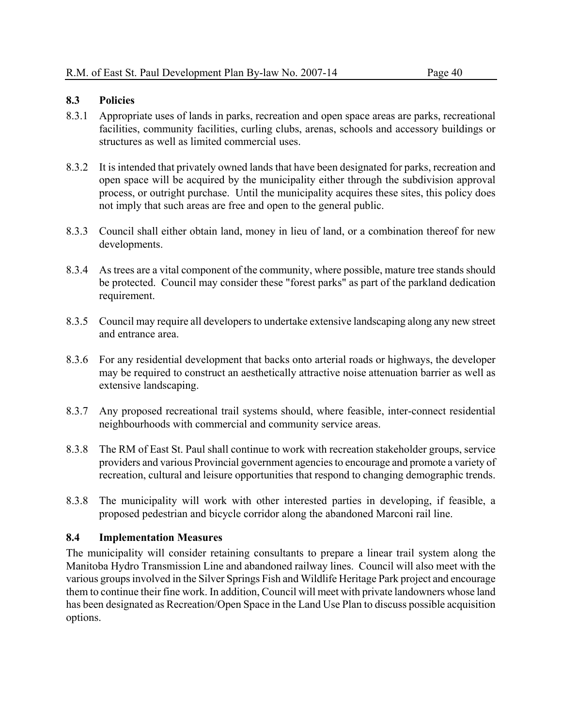#### **8.3 Policies**

- 8.3.1 Appropriate uses of lands in parks, recreation and open space areas are parks, recreational facilities, community facilities, curling clubs, arenas, schools and accessory buildings or structures as well as limited commercial uses.
- 8.3.2 It is intended that privately owned lands that have been designated for parks, recreation and open space will be acquired by the municipality either through the subdivision approval process, or outright purchase. Until the municipality acquires these sites, this policy does not imply that such areas are free and open to the general public.
- 8.3.3 Council shall either obtain land, money in lieu of land, or a combination thereof for new developments.
- 8.3.4 As trees are a vital component of the community, where possible, mature tree stands should be protected. Council may consider these "forest parks" as part of the parkland dedication requirement.
- 8.3.5 Council may require all developers to undertake extensive landscaping along any new street and entrance area.
- 8.3.6 For any residential development that backs onto arterial roads or highways, the developer may be required to construct an aesthetically attractive noise attenuation barrier as well as extensive landscaping.
- 8.3.7 Any proposed recreational trail systems should, where feasible, inter-connect residential neighbourhoods with commercial and community service areas.
- 8.3.8 The RM of East St. Paul shall continue to work with recreation stakeholder groups, service providers and various Provincial government agencies to encourage and promote a variety of recreation, cultural and leisure opportunities that respond to changing demographic trends.
- 8.3.8 The municipality will work with other interested parties in developing, if feasible, a proposed pedestrian and bicycle corridor along the abandoned Marconi rail line.

#### **8.4 Implementation Measures**

The municipality will consider retaining consultants to prepare a linear trail system along the Manitoba Hydro Transmission Line and abandoned railway lines. Council will also meet with the various groups involved in the Silver Springs Fish and Wildlife Heritage Park project and encourage them to continue their fine work. In addition, Council will meet with private landowners whose land has been designated as Recreation/Open Space in the Land Use Plan to discuss possible acquisition options.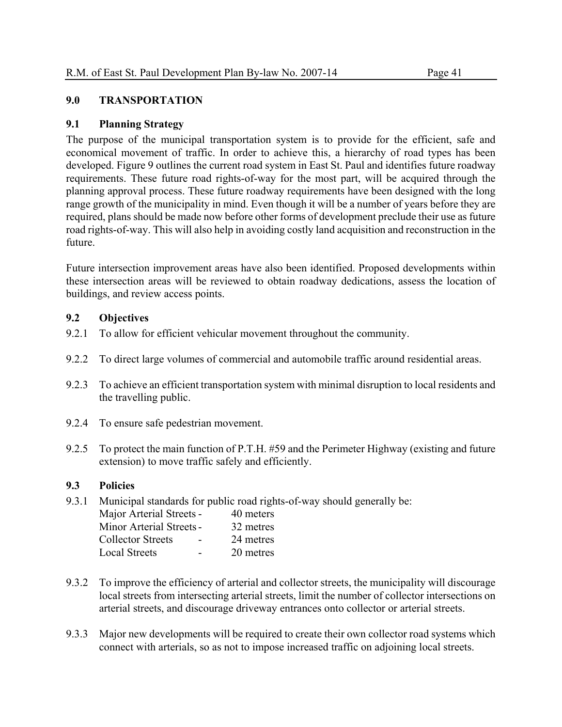# **9.0 TRANSPORTATION**

# **9.1 Planning Strategy**

The purpose of the municipal transportation system is to provide for the efficient, safe and economical movement of traffic. In order to achieve this, a hierarchy of road types has been developed. Figure 9 outlines the current road system in East St. Paul and identifies future roadway requirements. These future road rights-of-way for the most part, will be acquired through the planning approval process. These future roadway requirements have been designed with the long range growth of the municipality in mind. Even though it will be a number of years before they are required, plans should be made now before other forms of development preclude their use as future road rights-of-way. This will also help in avoiding costly land acquisition and reconstruction in the future.

Future intersection improvement areas have also been identified. Proposed developments within these intersection areas will be reviewed to obtain roadway dedications, assess the location of buildings, and review access points.

# **9.2 Objectives**

- 9.2.1 To allow for efficient vehicular movement throughout the community.
- 9.2.2 To direct large volumes of commercial and automobile traffic around residential areas.
- 9.2.3 To achieve an efficient transportation system with minimal disruption to local residents and the travelling public.
- 9.2.4 To ensure safe pedestrian movement.
- 9.2.5 To protect the main function of P.T.H. #59 and the Perimeter Highway (existing and future extension) to move traffic safely and efficiently.

#### **9.3 Policies**

9.3.1 Municipal standards for public road rights-of-way should generally be:

| Major Arterial Streets -        | 40 meters |
|---------------------------------|-----------|
| <b>Minor Arterial Streets -</b> | 32 metres |
| <b>Collector Streets</b>        | 24 metres |
| <b>Local Streets</b>            | 20 metres |

- 9.3.2 To improve the efficiency of arterial and collector streets, the municipality will discourage local streets from intersecting arterial streets, limit the number of collector intersections on arterial streets, and discourage driveway entrances onto collector or arterial streets.
- 9.3.3 Major new developments will be required to create their own collector road systems which connect with arterials, so as not to impose increased traffic on adjoining local streets.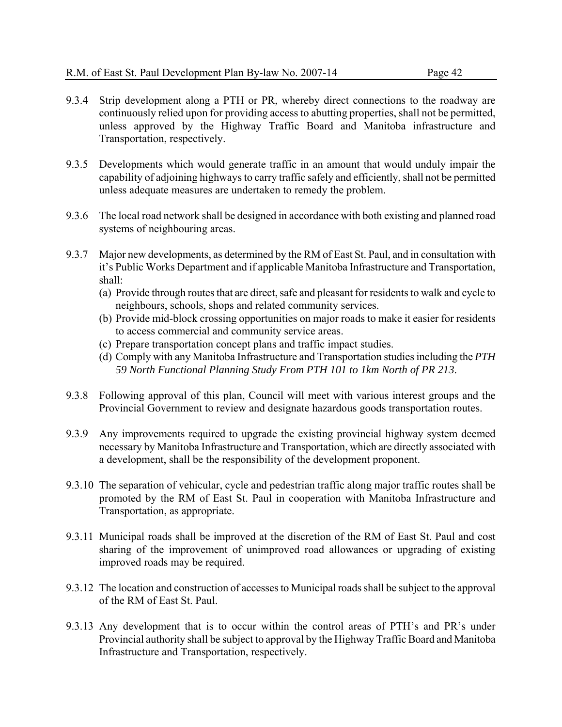- 9.3.4 Strip development along a PTH or PR, whereby direct connections to the roadway are continuously relied upon for providing access to abutting properties, shall not be permitted, unless approved by the Highway Traffic Board and Manitoba infrastructure and Transportation, respectively.
- 9.3.5 Developments which would generate traffic in an amount that would unduly impair the capability of adjoining highways to carry traffic safely and efficiently, shall not be permitted unless adequate measures are undertaken to remedy the problem.
- 9.3.6 The local road network shall be designed in accordance with both existing and planned road systems of neighbouring areas.
- 9.3.7 Major new developments, as determined by the RM of East St. Paul, and in consultation with it's Public Works Department and if applicable Manitoba Infrastructure and Transportation, shall:
	- (a) Provide through routes that are direct, safe and pleasant for residents to walk and cycle to neighbours, schools, shops and related community services.
	- (b) Provide mid-block crossing opportunities on major roads to make it easier for residents to access commercial and community service areas.
	- (c) Prepare transportation concept plans and traffic impact studies.
	- (d) Comply with any Manitoba Infrastructure and Transportation studies including the *PTH 59 North Functional Planning Study From PTH 101 to 1km North of PR 213*.
- 9.3.8 Following approval of this plan, Council will meet with various interest groups and the Provincial Government to review and designate hazardous goods transportation routes.
- 9.3.9 Any improvements required to upgrade the existing provincial highway system deemed necessary by Manitoba Infrastructure and Transportation, which are directly associated with a development, shall be the responsibility of the development proponent.
- 9.3.10 The separation of vehicular, cycle and pedestrian traffic along major traffic routes shall be promoted by the RM of East St. Paul in cooperation with Manitoba Infrastructure and Transportation, as appropriate.
- 9.3.11 Municipal roads shall be improved at the discretion of the RM of East St. Paul and cost sharing of the improvement of unimproved road allowances or upgrading of existing improved roads may be required.
- 9.3.12 The location and construction of accesses to Municipal roads shall be subject to the approval of the RM of East St. Paul.
- 9.3.13 Any development that is to occur within the control areas of PTH's and PR's under Provincial authority shall be subject to approval by the Highway Traffic Board and Manitoba Infrastructure and Transportation, respectively.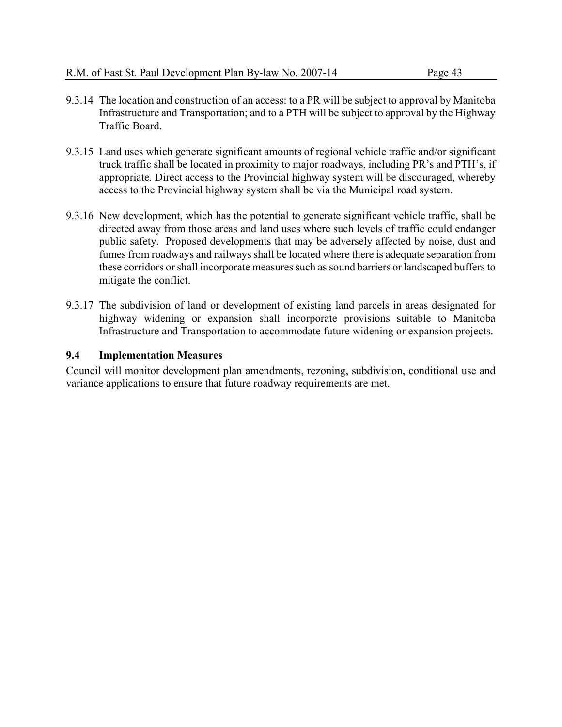- 9.3.14 The location and construction of an access: to a PR will be subject to approval by Manitoba Infrastructure and Transportation; and to a PTH will be subject to approval by the Highway Traffic Board.
- 9.3.15 Land uses which generate significant amounts of regional vehicle traffic and/or significant truck traffic shall be located in proximity to major roadways, including PR's and PTH's, if appropriate. Direct access to the Provincial highway system will be discouraged, whereby access to the Provincial highway system shall be via the Municipal road system.
- 9.3.16 New development, which has the potential to generate significant vehicle traffic, shall be directed away from those areas and land uses where such levels of traffic could endanger public safety. Proposed developments that may be adversely affected by noise, dust and fumes from roadways and railways shall be located where there is adequate separation from these corridors or shall incorporate measures such as sound barriers or landscaped buffers to mitigate the conflict.
- 9.3.17 The subdivision of land or development of existing land parcels in areas designated for highway widening or expansion shall incorporate provisions suitable to Manitoba Infrastructure and Transportation to accommodate future widening or expansion projects.

Council will monitor development plan amendments, rezoning, subdivision, conditional use and variance applications to ensure that future roadway requirements are met.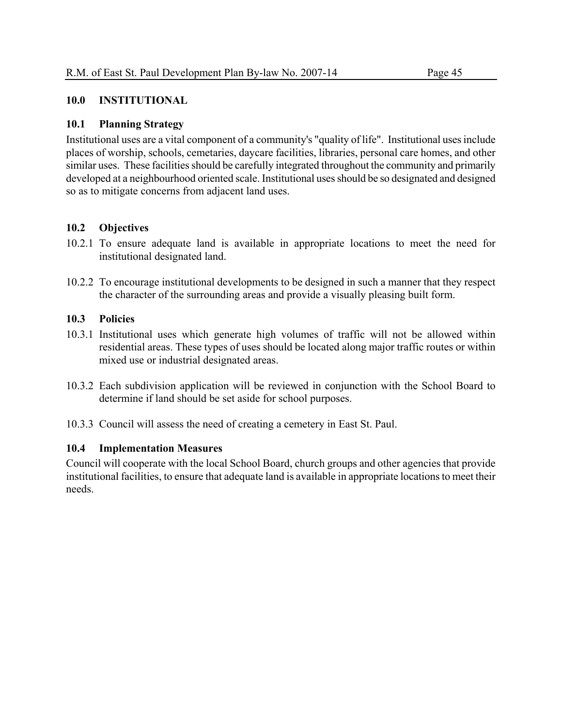# **10.0 INSTITUTIONAL**

# **10.1 Planning Strategy**

Institutional uses are a vital component of a community's "quality of life". Institutional uses include places of worship, schools, cemetaries, daycare facilities, libraries, personal care homes, and other similar uses. These facilities should be carefully integrated throughout the community and primarily developed at a neighbourhood oriented scale. Institutional uses should be so designated and designed so as to mitigate concerns from adjacent land uses.

# **10.2 Objectives**

- 10.2.1 To ensure adequate land is available in appropriate locations to meet the need for institutional designated land.
- 10.2.2 To encourage institutional developments to be designed in such a manner that they respect the character of the surrounding areas and provide a visually pleasing built form.

# **10.3 Policies**

- 10.3.1 Institutional uses which generate high volumes of traffic will not be allowed within residential areas. These types of uses should be located along major traffic routes or within mixed use or industrial designated areas.
- 10.3.2 Each subdivision application will be reviewed in conjunction with the School Board to determine if land should be set aside for school purposes.
- 10.3.3 Council will assess the need of creating a cemetery in East St. Paul.

#### **10.4 Implementation Measures**

Council will cooperate with the local School Board, church groups and other agencies that provide institutional facilities, to ensure that adequate land is available in appropriate locations to meet their needs.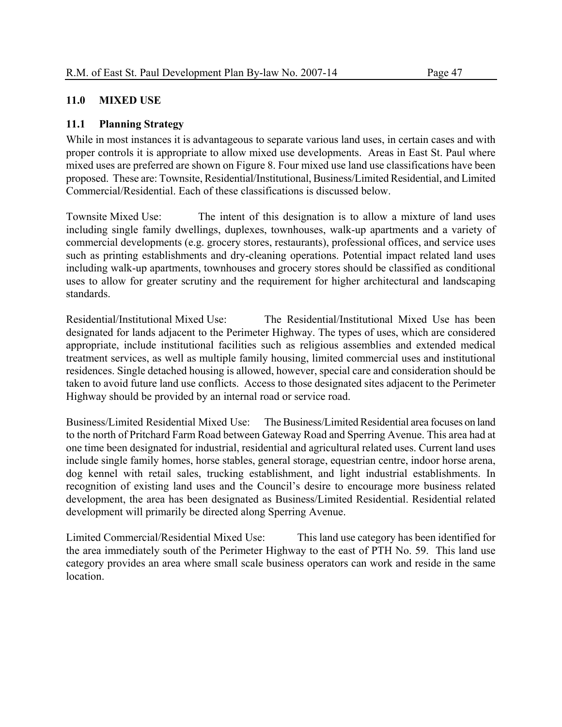# **11.0 MIXED USE**

# **11.1 Planning Strategy**

While in most instances it is advantageous to separate various land uses, in certain cases and with proper controls it is appropriate to allow mixed use developments. Areas in East St. Paul where mixed uses are preferred are shown on Figure 8. Four mixed use land use classifications have been proposed. These are: Townsite, Residential/Institutional, Business/Limited Residential, and Limited Commercial/Residential. Each of these classifications is discussed below.

Townsite Mixed Use: The intent of this designation is to allow a mixture of land uses including single family dwellings, duplexes, townhouses, walk-up apartments and a variety of commercial developments (e.g. grocery stores, restaurants), professional offices, and service uses such as printing establishments and dry-cleaning operations. Potential impact related land uses including walk-up apartments, townhouses and grocery stores should be classified as conditional uses to allow for greater scrutiny and the requirement for higher architectural and landscaping standards.

Residential/Institutional Mixed Use: The Residential/Institutional Mixed Use has been designated for lands adjacent to the Perimeter Highway. The types of uses, which are considered appropriate, include institutional facilities such as religious assemblies and extended medical treatment services, as well as multiple family housing, limited commercial uses and institutional residences. Single detached housing is allowed, however, special care and consideration should be taken to avoid future land use conflicts. Access to those designated sites adjacent to the Perimeter Highway should be provided by an internal road or service road.

Business/Limited Residential Mixed Use: The Business/Limited Residential area focuses on land to the north of Pritchard Farm Road between Gateway Road and Sperring Avenue. This area had at one time been designated for industrial, residential and agricultural related uses. Current land uses include single family homes, horse stables, general storage, equestrian centre, indoor horse arena, dog kennel with retail sales, trucking establishment, and light industrial establishments. In recognition of existing land uses and the Council's desire to encourage more business related development, the area has been designated as Business/Limited Residential. Residential related development will primarily be directed along Sperring Avenue.

Limited Commercial/Residential Mixed Use: This land use category has been identified for the area immediately south of the Perimeter Highway to the east of PTH No. 59. This land use category provides an area where small scale business operators can work and reside in the same location.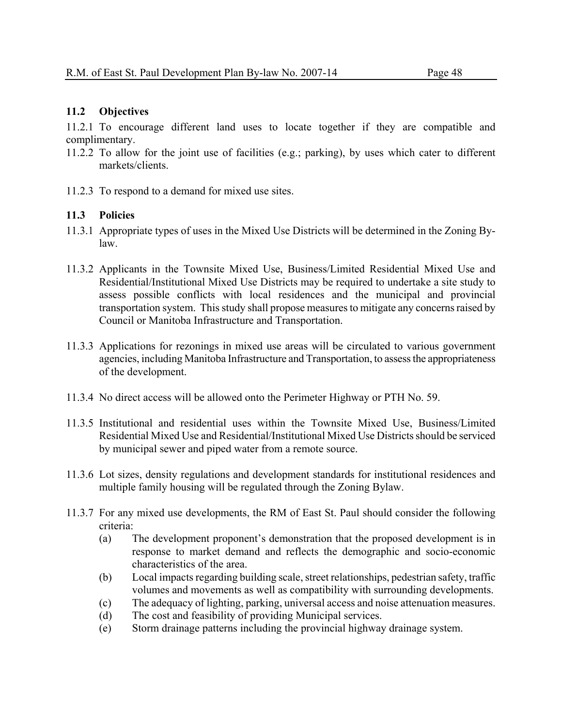# **11.2 Objectives**

11.2.1 To encourage different land uses to locate together if they are compatible and complimentary.

- 11.2.2 To allow for the joint use of facilities (e.g.; parking), by uses which cater to different markets/clients.
- 11.2.3 To respond to a demand for mixed use sites.

- 11.3.1 Appropriate types of uses in the Mixed Use Districts will be determined in the Zoning Bylaw.
- 11.3.2 Applicants in the Townsite Mixed Use, Business/Limited Residential Mixed Use and Residential/Institutional Mixed Use Districts may be required to undertake a site study to assess possible conflicts with local residences and the municipal and provincial transportation system. This study shall propose measures to mitigate any concerns raised by Council or Manitoba Infrastructure and Transportation.
- 11.3.3 Applications for rezonings in mixed use areas will be circulated to various government agencies, including Manitoba Infrastructure and Transportation, to assess the appropriateness of the development.
- 11.3.4 No direct access will be allowed onto the Perimeter Highway or PTH No. 59.
- 11.3.5 Institutional and residential uses within the Townsite Mixed Use, Business/Limited Residential Mixed Use and Residential/Institutional Mixed Use Districts should be serviced by municipal sewer and piped water from a remote source.
- 11.3.6 Lot sizes, density regulations and development standards for institutional residences and multiple family housing will be regulated through the Zoning Bylaw.
- 11.3.7 For any mixed use developments, the RM of East St. Paul should consider the following criteria:
	- (a) The development proponent's demonstration that the proposed development is in response to market demand and reflects the demographic and socio-economic characteristics of the area.
	- (b) Local impacts regarding building scale, street relationships, pedestrian safety, traffic volumes and movements as well as compatibility with surrounding developments.
	- (c) The adequacy of lighting, parking, universal access and noise attenuation measures.
	- (d) The cost and feasibility of providing Municipal services.
	- (e) Storm drainage patterns including the provincial highway drainage system.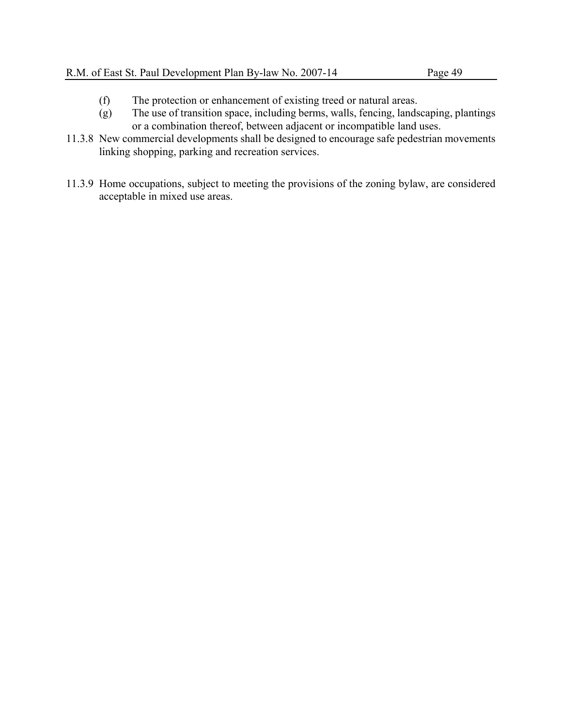- (f) The protection or enhancement of existing treed or natural areas.
- (g) The use of transition space, including berms, walls, fencing, landscaping, plantings or a combination thereof, between adjacent or incompatible land uses.
- 11.3.8 New commercial developments shall be designed to encourage safe pedestrian movements linking shopping, parking and recreation services.
- 11.3.9 Home occupations, subject to meeting the provisions of the zoning bylaw, are considered acceptable in mixed use areas.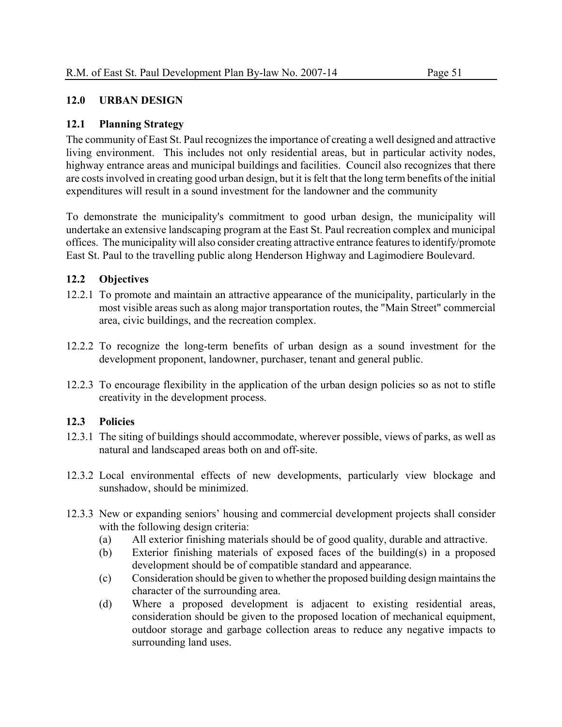# **12.0 URBAN DESIGN**

# **12.1 Planning Strategy**

The community of East St. Paul recognizes the importance of creating a well designed and attractive living environment. This includes not only residential areas, but in particular activity nodes, highway entrance areas and municipal buildings and facilities. Council also recognizes that there are costs involved in creating good urban design, but it is felt that the long term benefits of the initial expenditures will result in a sound investment for the landowner and the community

To demonstrate the municipality's commitment to good urban design, the municipality will undertake an extensive landscaping program at the East St. Paul recreation complex and municipal offices. The municipality will also consider creating attractive entrance features to identify/promote East St. Paul to the travelling public along Henderson Highway and Lagimodiere Boulevard.

# **12.2 Objectives**

- 12.2.1 To promote and maintain an attractive appearance of the municipality, particularly in the most visible areas such as along major transportation routes, the "Main Street" commercial area, civic buildings, and the recreation complex.
- 12.2.2 To recognize the long-term benefits of urban design as a sound investment for the development proponent, landowner, purchaser, tenant and general public.
- 12.2.3 To encourage flexibility in the application of the urban design policies so as not to stifle creativity in the development process.

- 12.3.1 The siting of buildings should accommodate, wherever possible, views of parks, as well as natural and landscaped areas both on and off-site.
- 12.3.2 Local environmental effects of new developments, particularly view blockage and sunshadow, should be minimized.
- 12.3.3 New or expanding seniors' housing and commercial development projects shall consider with the following design criteria:
	- (a) All exterior finishing materials should be of good quality, durable and attractive.
	- (b) Exterior finishing materials of exposed faces of the building(s) in a proposed development should be of compatible standard and appearance.
	- (c) Consideration should be given to whether the proposed building design maintains the character of the surrounding area.
	- (d) Where a proposed development is adjacent to existing residential areas, consideration should be given to the proposed location of mechanical equipment, outdoor storage and garbage collection areas to reduce any negative impacts to surrounding land uses.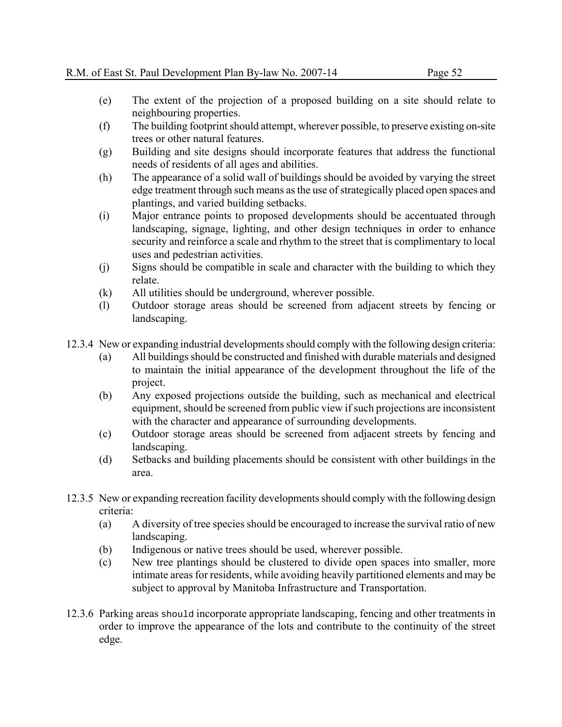- (e) The extent of the projection of a proposed building on a site should relate to neighbouring properties.
- (f) The building footprint should attempt, wherever possible, to preserve existing on-site trees or other natural features.
- (g) Building and site designs should incorporate features that address the functional needs of residents of all ages and abilities.
- (h) The appearance of a solid wall of buildings should be avoided by varying the street edge treatment through such means as the use of strategically placed open spaces and plantings, and varied building setbacks.
- (i) Major entrance points to proposed developments should be accentuated through landscaping, signage, lighting, and other design techniques in order to enhance security and reinforce a scale and rhythm to the street that is complimentary to local uses and pedestrian activities.
- (j) Signs should be compatible in scale and character with the building to which they relate.
- (k) All utilities should be underground, wherever possible.
- (l) Outdoor storage areas should be screened from adjacent streets by fencing or landscaping.
- 12.3.4 New or expanding industrial developments should comply with the following design criteria:
	- (a) All buildings should be constructed and finished with durable materials and designed to maintain the initial appearance of the development throughout the life of the project.
	- (b) Any exposed projections outside the building, such as mechanical and electrical equipment, should be screened from public view if such projections are inconsistent with the character and appearance of surrounding developments.
	- (c) Outdoor storage areas should be screened from adjacent streets by fencing and landscaping.
	- (d) Setbacks and building placements should be consistent with other buildings in the area.
- 12.3.5 New or expanding recreation facility developments should comply with the following design criteria:
	- (a) A diversity of tree species should be encouraged to increase the survival ratio of new landscaping.
	- (b) Indigenous or native trees should be used, wherever possible.
	- (c) New tree plantings should be clustered to divide open spaces into smaller, more intimate areas for residents, while avoiding heavily partitioned elements and may be subject to approval by Manitoba Infrastructure and Transportation.
- 12.3.6 Parking areas should incorporate appropriate landscaping, fencing and other treatments in order to improve the appearance of the lots and contribute to the continuity of the street edge.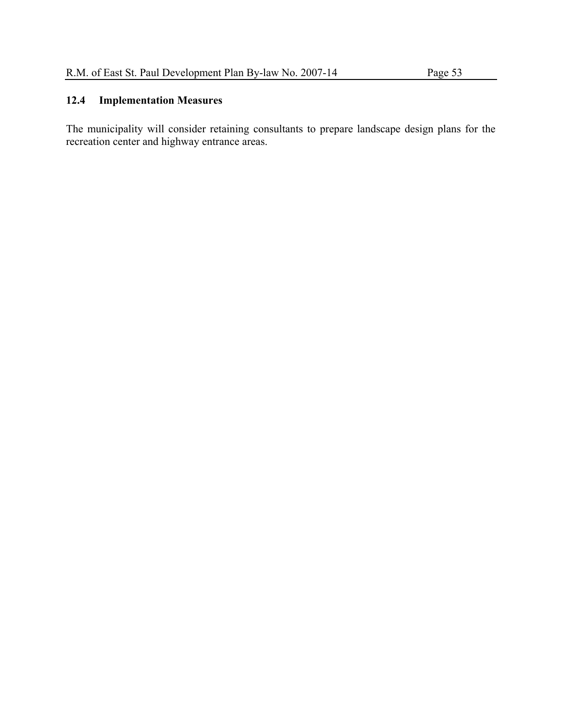The municipality will consider retaining consultants to prepare landscape design plans for the recreation center and highway entrance areas.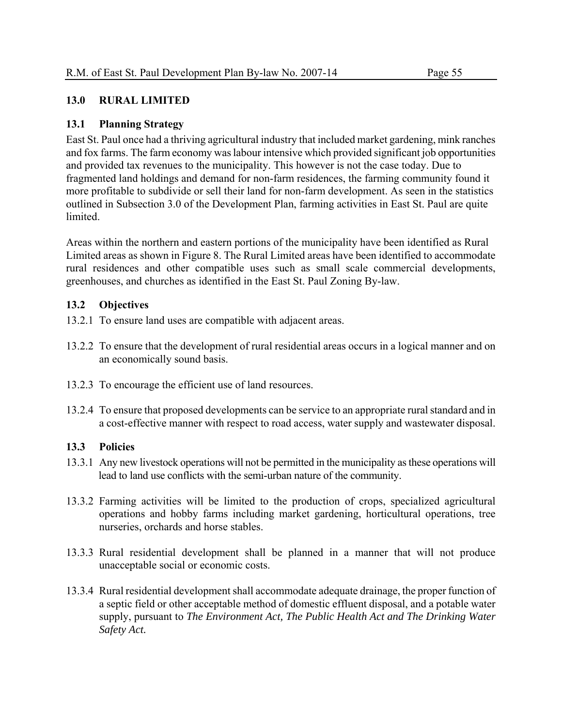# **13.0 RURAL LIMITED**

# **13.1 Planning Strategy**

East St. Paul once had a thriving agricultural industry that included market gardening, mink ranches and fox farms. The farm economy was labour intensive which provided significant job opportunities and provided tax revenues to the municipality. This however is not the case today. Due to fragmented land holdings and demand for non-farm residences, the farming community found it more profitable to subdivide or sell their land for non-farm development. As seen in the statistics outlined in Subsection 3.0 of the Development Plan, farming activities in East St. Paul are quite limited.

Areas within the northern and eastern portions of the municipality have been identified as Rural Limited areas as shown in Figure 8. The Rural Limited areas have been identified to accommodate rural residences and other compatible uses such as small scale commercial developments, greenhouses, and churches as identified in the East St. Paul Zoning By-law.

# **13.2 Objectives**

- 13.2.1 To ensure land uses are compatible with adjacent areas.
- 13.2.2 To ensure that the development of rural residential areas occurs in a logical manner and on an economically sound basis.
- 13.2.3 To encourage the efficient use of land resources.
- 13.2.4 To ensure that proposed developments can be service to an appropriate rural standard and in a cost-effective manner with respect to road access, water supply and wastewater disposal.

- 13.3.1 Any new livestock operations will not be permitted in the municipality as these operations will lead to land use conflicts with the semi-urban nature of the community.
- 13.3.2 Farming activities will be limited to the production of crops, specialized agricultural operations and hobby farms including market gardening, horticultural operations, tree nurseries, orchards and horse stables.
- 13.3.3 Rural residential development shall be planned in a manner that will not produce unacceptable social or economic costs.
- 13.3.4 Rural residential development shall accommodate adequate drainage, the proper function of a septic field or other acceptable method of domestic effluent disposal, and a potable water supply, pursuant to *The Environment Act, The Public Health Act and The Drinking Water Safety Act.*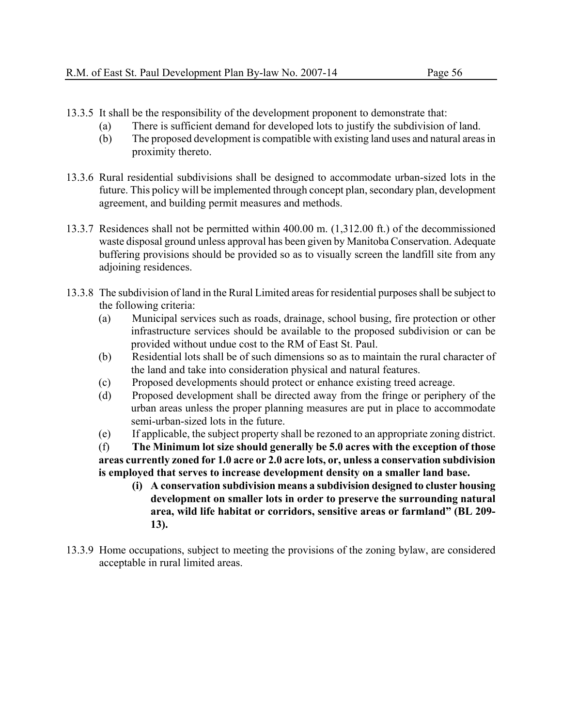- 13.3.5 It shall be the responsibility of the development proponent to demonstrate that:
	- (a) There is sufficient demand for developed lots to justify the subdivision of land.
	- (b) The proposed development is compatible with existing land uses and natural areas in proximity thereto.
- 13.3.6 Rural residential subdivisions shall be designed to accommodate urban-sized lots in the future. This policy will be implemented through concept plan, secondary plan, development agreement, and building permit measures and methods.
- 13.3.7 Residences shall not be permitted within 400.00 m. (1,312.00 ft.) of the decommissioned waste disposal ground unless approval has been given by Manitoba Conservation. Adequate buffering provisions should be provided so as to visually screen the landfill site from any adjoining residences.
- 13.3.8 The subdivision of land in the Rural Limited areas for residential purposes shall be subject to the following criteria:
	- (a) Municipal services such as roads, drainage, school busing, fire protection or other infrastructure services should be available to the proposed subdivision or can be provided without undue cost to the RM of East St. Paul.
	- (b) Residential lots shall be of such dimensions so as to maintain the rural character of the land and take into consideration physical and natural features.
	- (c) Proposed developments should protect or enhance existing treed acreage.
	- (d) Proposed development shall be directed away from the fringe or periphery of the urban areas unless the proper planning measures are put in place to accommodate semi-urban-sized lots in the future.
	- (e) If applicable, the subject property shall be rezoned to an appropriate zoning district.

(f) **The Minimum lot size should generally be 5.0 acres with the exception of those areas currently zoned for 1.0 acre or 2.0 acre lots, or, unless a conservation subdivision is employed that serves to increase development density on a smaller land base.** 

- **(i) A conservation subdivision means a subdivision designed to cluster housing development on smaller lots in order to preserve the surrounding natural area, wild life habitat or corridors, sensitive areas or farmland" (BL 209- 13).**
- 13.3.9 Home occupations, subject to meeting the provisions of the zoning bylaw, are considered acceptable in rural limited areas.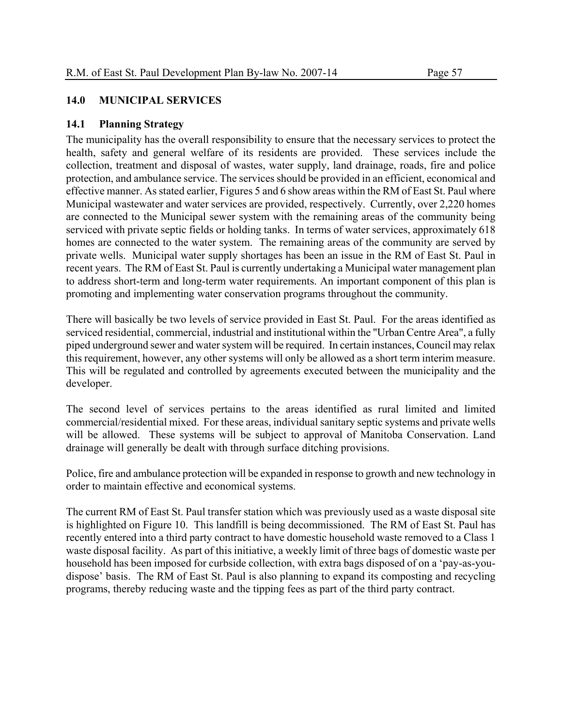# **14.0 MUNICIPAL SERVICES**

# **14.1 Planning Strategy**

The municipality has the overall responsibility to ensure that the necessary services to protect the health, safety and general welfare of its residents are provided. These services include the collection, treatment and disposal of wastes, water supply, land drainage, roads, fire and police protection, and ambulance service. The services should be provided in an efficient, economical and effective manner. As stated earlier, Figures 5 and 6 show areas within the RM of East St. Paul where Municipal wastewater and water services are provided, respectively. Currently, over 2,220 homes are connected to the Municipal sewer system with the remaining areas of the community being serviced with private septic fields or holding tanks. In terms of water services, approximately 618 homes are connected to the water system. The remaining areas of the community are served by private wells. Municipal water supply shortages has been an issue in the RM of East St. Paul in recent years. The RM of East St. Paul is currently undertaking a Municipal water management plan to address short-term and long-term water requirements. An important component of this plan is promoting and implementing water conservation programs throughout the community.

There will basically be two levels of service provided in East St. Paul. For the areas identified as serviced residential, commercial, industrial and institutional within the "Urban Centre Area", a fully piped underground sewer and water system will be required. In certain instances, Council may relax this requirement, however, any other systems will only be allowed as a short term interim measure. This will be regulated and controlled by agreements executed between the municipality and the developer.

The second level of services pertains to the areas identified as rural limited and limited commercial/residential mixed. For these areas, individual sanitary septic systems and private wells will be allowed. These systems will be subject to approval of Manitoba Conservation. Land drainage will generally be dealt with through surface ditching provisions.

Police, fire and ambulance protection will be expanded in response to growth and new technology in order to maintain effective and economical systems.

The current RM of East St. Paul transfer station which was previously used as a waste disposal site is highlighted on Figure 10. This landfill is being decommissioned. The RM of East St. Paul has recently entered into a third party contract to have domestic household waste removed to a Class 1 waste disposal facility. As part of this initiative, a weekly limit of three bags of domestic waste per household has been imposed for curbside collection, with extra bags disposed of on a 'pay-as-youdispose' basis. The RM of East St. Paul is also planning to expand its composting and recycling programs, thereby reducing waste and the tipping fees as part of the third party contract.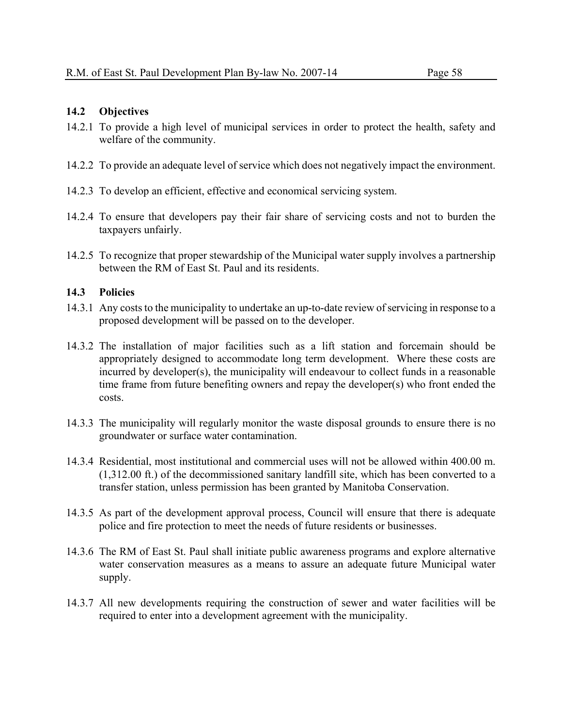#### **14.2 Objectives**

- 14.2.1 To provide a high level of municipal services in order to protect the health, safety and welfare of the community.
- 14.2.2 To provide an adequate level of service which does not negatively impact the environment.
- 14.2.3 To develop an efficient, effective and economical servicing system.
- 14.2.4 To ensure that developers pay their fair share of servicing costs and not to burden the taxpayers unfairly.
- 14.2.5 To recognize that proper stewardship of the Municipal water supply involves a partnership between the RM of East St. Paul and its residents.

- 14.3.1 Any costs to the municipality to undertake an up-to-date review of servicing in response to a proposed development will be passed on to the developer.
- 14.3.2 The installation of major facilities such as a lift station and forcemain should be appropriately designed to accommodate long term development. Where these costs are incurred by developer(s), the municipality will endeavour to collect funds in a reasonable time frame from future benefiting owners and repay the developer(s) who front ended the costs.
- 14.3.3 The municipality will regularly monitor the waste disposal grounds to ensure there is no groundwater or surface water contamination.
- 14.3.4 Residential, most institutional and commercial uses will not be allowed within 400.00 m. (1,312.00 ft.) of the decommissioned sanitary landfill site, which has been converted to a transfer station, unless permission has been granted by Manitoba Conservation.
- 14.3.5 As part of the development approval process, Council will ensure that there is adequate police and fire protection to meet the needs of future residents or businesses.
- 14.3.6 The RM of East St. Paul shall initiate public awareness programs and explore alternative water conservation measures as a means to assure an adequate future Municipal water supply.
- 14.3.7 All new developments requiring the construction of sewer and water facilities will be required to enter into a development agreement with the municipality.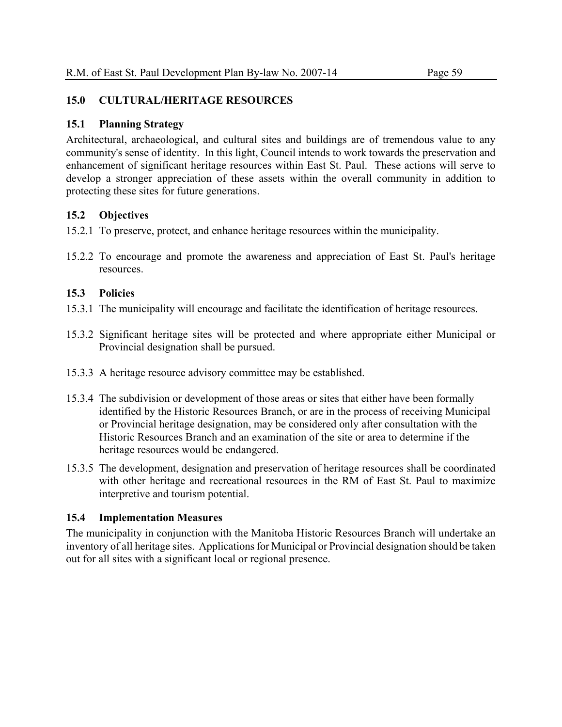# **15.0 CULTURAL/HERITAGE RESOURCES**

#### **15.1 Planning Strategy**

Architectural, archaeological, and cultural sites and buildings are of tremendous value to any community's sense of identity. In this light, Council intends to work towards the preservation and enhancement of significant heritage resources within East St. Paul. These actions will serve to develop a stronger appreciation of these assets within the overall community in addition to protecting these sites for future generations.

# **15.2 Objectives**

- 15.2.1 To preserve, protect, and enhance heritage resources within the municipality.
- 15.2.2 To encourage and promote the awareness and appreciation of East St. Paul's heritage resources.

# **15.3 Policies**

- 15.3.1 The municipality will encourage and facilitate the identification of heritage resources.
- 15.3.2 Significant heritage sites will be protected and where appropriate either Municipal or Provincial designation shall be pursued.
- 15.3.3 A heritage resource advisory committee may be established.
- 15.3.4 The subdivision or development of those areas or sites that either have been formally identified by the Historic Resources Branch, or are in the process of receiving Municipal or Provincial heritage designation, may be considered only after consultation with the Historic Resources Branch and an examination of the site or area to determine if the heritage resources would be endangered.
- 15.3.5 The development, designation and preservation of heritage resources shall be coordinated with other heritage and recreational resources in the RM of East St. Paul to maximize interpretive and tourism potential.

# **15.4 Implementation Measures**

The municipality in conjunction with the Manitoba Historic Resources Branch will undertake an inventory of all heritage sites. Applications for Municipal or Provincial designation should be taken out for all sites with a significant local or regional presence.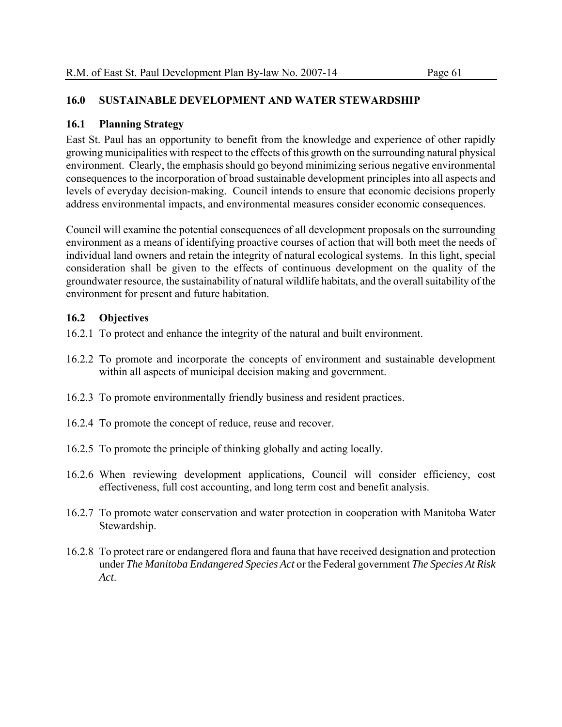# **16.0 SUSTAINABLE DEVELOPMENT AND WATER STEWARDSHIP**

# **16.1 Planning Strategy**

East St. Paul has an opportunity to benefit from the knowledge and experience of other rapidly growing municipalities with respect to the effects of this growth on the surrounding natural physical environment. Clearly, the emphasis should go beyond minimizing serious negative environmental consequences to the incorporation of broad sustainable development principles into all aspects and levels of everyday decision-making. Council intends to ensure that economic decisions properly address environmental impacts, and environmental measures consider economic consequences.

Council will examine the potential consequences of all development proposals on the surrounding environment as a means of identifying proactive courses of action that will both meet the needs of individual land owners and retain the integrity of natural ecological systems. In this light, special consideration shall be given to the effects of continuous development on the quality of the groundwater resource, the sustainability of natural wildlife habitats, and the overall suitability of the environment for present and future habitation.

# **16.2 Objectives**

- 16.2.1 To protect and enhance the integrity of the natural and built environment.
- 16.2.2 To promote and incorporate the concepts of environment and sustainable development within all aspects of municipal decision making and government.
- 16.2.3 To promote environmentally friendly business and resident practices.
- 16.2.4 To promote the concept of reduce, reuse and recover.
- 16.2.5 To promote the principle of thinking globally and acting locally.
- 16.2.6 When reviewing development applications, Council will consider efficiency, cost effectiveness, full cost accounting, and long term cost and benefit analysis.
- 16.2.7 To promote water conservation and water protection in cooperation with Manitoba Water Stewardship.
- 16.2.8 To protect rare or endangered flora and fauna that have received designation and protection under *The Manitoba Endangered Species Act* or the Federal government *The Species At Risk Act*.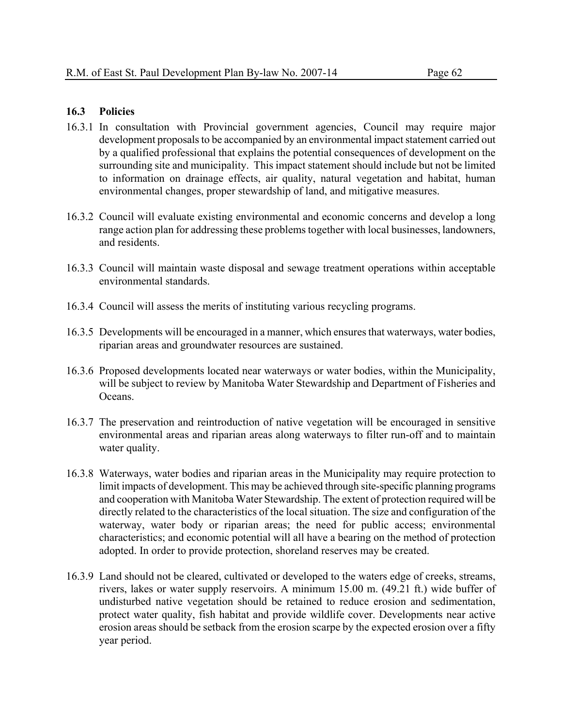# **16.3 Policies**

- 16.3.1 In consultation with Provincial government agencies, Council may require major development proposals to be accompanied by an environmental impact statement carried out by a qualified professional that explains the potential consequences of development on the surrounding site and municipality. This impact statement should include but not be limited to information on drainage effects, air quality, natural vegetation and habitat, human environmental changes, proper stewardship of land, and mitigative measures.
- 16.3.2 Council will evaluate existing environmental and economic concerns and develop a long range action plan for addressing these problems together with local businesses, landowners, and residents.
- 16.3.3 Council will maintain waste disposal and sewage treatment operations within acceptable environmental standards.
- 16.3.4 Council will assess the merits of instituting various recycling programs.
- 16.3.5 Developments will be encouraged in a manner, which ensures that waterways, water bodies, riparian areas and groundwater resources are sustained.
- 16.3.6 Proposed developments located near waterways or water bodies, within the Municipality, will be subject to review by Manitoba Water Stewardship and Department of Fisheries and Oceans.
- 16.3.7 The preservation and reintroduction of native vegetation will be encouraged in sensitive environmental areas and riparian areas along waterways to filter run-off and to maintain water quality.
- 16.3.8 Waterways, water bodies and riparian areas in the Municipality may require protection to limit impacts of development. This may be achieved through site-specific planning programs and cooperation with Manitoba Water Stewardship. The extent of protection required will be directly related to the characteristics of the local situation. The size and configuration of the waterway, water body or riparian areas; the need for public access; environmental characteristics; and economic potential will all have a bearing on the method of protection adopted. In order to provide protection, shoreland reserves may be created.
- 16.3.9 Land should not be cleared, cultivated or developed to the waters edge of creeks, streams, rivers, lakes or water supply reservoirs. A minimum 15.00 m. (49.21 ft.) wide buffer of undisturbed native vegetation should be retained to reduce erosion and sedimentation, protect water quality, fish habitat and provide wildlife cover. Developments near active erosion areas should be setback from the erosion scarpe by the expected erosion over a fifty year period.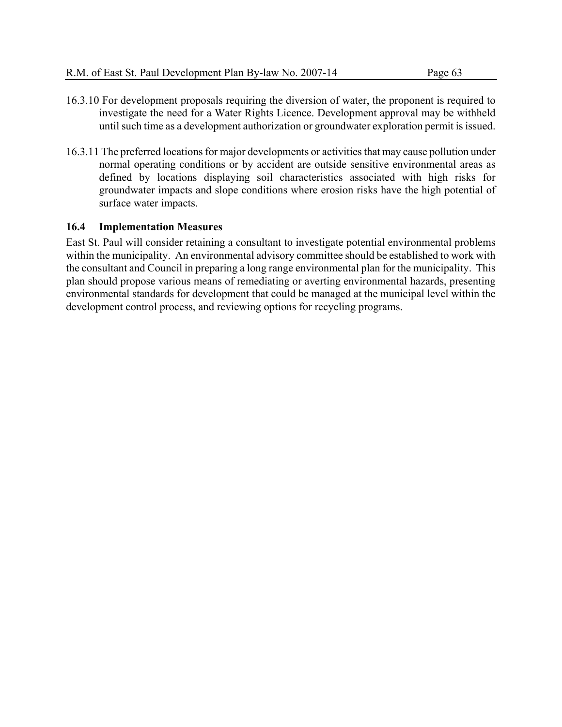- 16.3.10 For development proposals requiring the diversion of water, the proponent is required to investigate the need for a Water Rights Licence. Development approval may be withheld until such time as a development authorization or groundwater exploration permit is issued.
- 16.3.11 The preferred locations for major developments or activities that may cause pollution under normal operating conditions or by accident are outside sensitive environmental areas as defined by locations displaying soil characteristics associated with high risks for groundwater impacts and slope conditions where erosion risks have the high potential of surface water impacts.

# **16.4 Implementation Measures**

East St. Paul will consider retaining a consultant to investigate potential environmental problems within the municipality. An environmental advisory committee should be established to work with the consultant and Council in preparing a long range environmental plan for the municipality. This plan should propose various means of remediating or averting environmental hazards, presenting environmental standards for development that could be managed at the municipal level within the development control process, and reviewing options for recycling programs.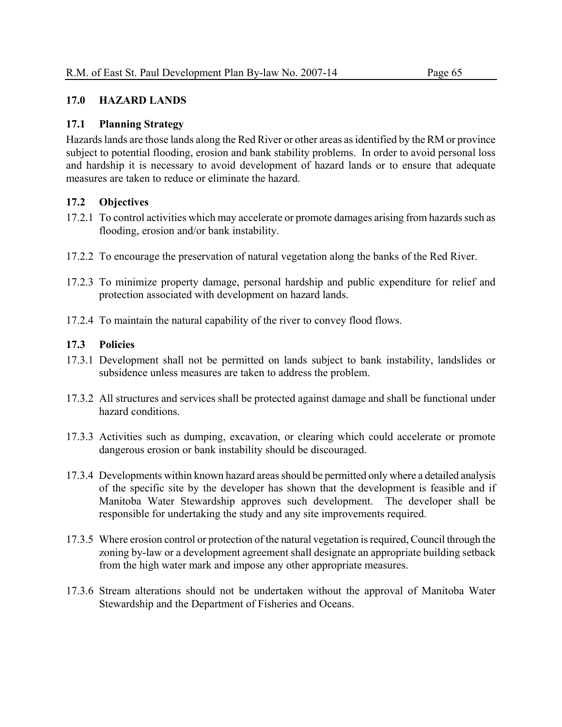### **17.0 HAZARD LANDS**

# **17.1 Planning Strategy**

Hazards lands are those lands along the Red River or other areas as identified by the RM or province subject to potential flooding, erosion and bank stability problems. In order to avoid personal loss and hardship it is necessary to avoid development of hazard lands or to ensure that adequate measures are taken to reduce or eliminate the hazard.

# **17.2 Objectives**

- 17.2.1 To control activities which may accelerate or promote damages arising from hazards such as flooding, erosion and/or bank instability.
- 17.2.2 To encourage the preservation of natural vegetation along the banks of the Red River.
- 17.2.3 To minimize property damage, personal hardship and public expenditure for relief and protection associated with development on hazard lands.
- 17.2.4 To maintain the natural capability of the river to convey flood flows.

# **17.3 Policies**

- 17.3.1 Development shall not be permitted on lands subject to bank instability, landslides or subsidence unless measures are taken to address the problem.
- 17.3.2 All structures and services shall be protected against damage and shall be functional under hazard conditions.
- 17.3.3 Activities such as dumping, excavation, or clearing which could accelerate or promote dangerous erosion or bank instability should be discouraged.
- 17.3.4 Developments within known hazard areas should be permitted only where a detailed analysis of the specific site by the developer has shown that the development is feasible and if Manitoba Water Stewardship approves such development. The developer shall be responsible for undertaking the study and any site improvements required.
- 17.3.5 Where erosion control or protection of the natural vegetation is required, Council through the zoning by-law or a development agreement shall designate an appropriate building setback from the high water mark and impose any other appropriate measures.
- 17.3.6 Stream alterations should not be undertaken without the approval of Manitoba Water Stewardship and the Department of Fisheries and Oceans.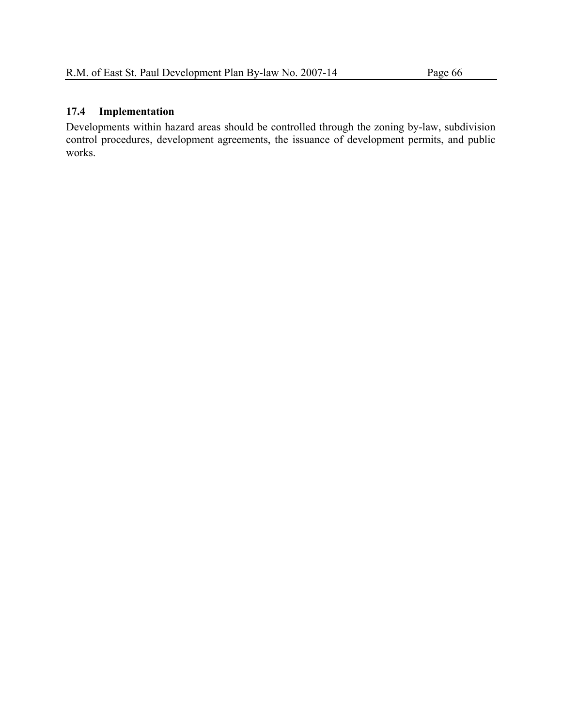# **17.4 Implementation**

Developments within hazard areas should be controlled through the zoning by-law, subdivision control procedures, development agreements, the issuance of development permits, and public works.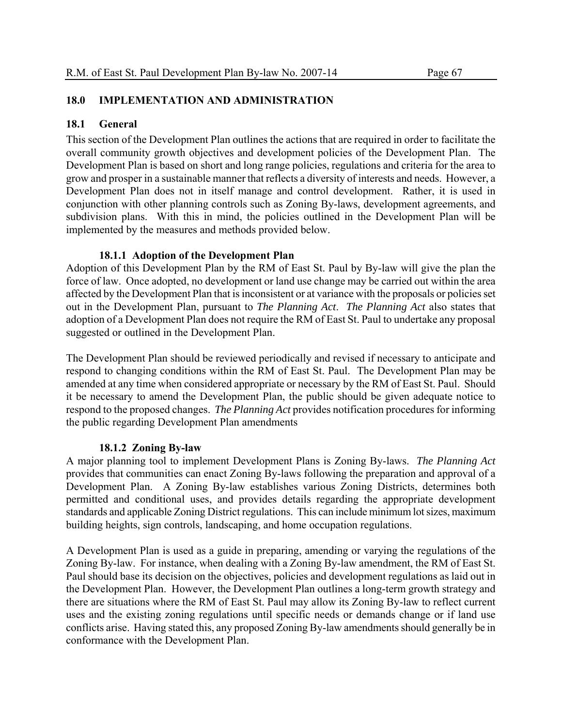# **18.0 IMPLEMENTATION AND ADMINISTRATION**

# **18.1 General**

This section of the Development Plan outlines the actions that are required in order to facilitate the overall community growth objectives and development policies of the Development Plan. The Development Plan is based on short and long range policies, regulations and criteria for the area to grow and prosper in a sustainable manner that reflects a diversity of interests and needs. However, a Development Plan does not in itself manage and control development. Rather, it is used in conjunction with other planning controls such as Zoning By-laws, development agreements, and subdivision plans. With this in mind, the policies outlined in the Development Plan will be implemented by the measures and methods provided below.

# **18.1.1 Adoption of the Development Plan**

Adoption of this Development Plan by the RM of East St. Paul by By-law will give the plan the force of law. Once adopted, no development or land use change may be carried out within the area affected by the Development Plan that is inconsistent or at variance with the proposals or policies set out in the Development Plan, pursuant to *The Planning Act*. *The Planning Act* also states that adoption of a Development Plan does not require the RM of East St. Paul to undertake any proposal suggested or outlined in the Development Plan.

The Development Plan should be reviewed periodically and revised if necessary to anticipate and respond to changing conditions within the RM of East St. Paul. The Development Plan may be amended at any time when considered appropriate or necessary by the RM of East St. Paul. Should it be necessary to amend the Development Plan, the public should be given adequate notice to respond to the proposed changes. *The Planning Act* provides notification procedures for informing the public regarding Development Plan amendments

# **18.1.2 Zoning By-law**

A major planning tool to implement Development Plans is Zoning By-laws. *The Planning Act* provides that communities can enact Zoning By-laws following the preparation and approval of a Development Plan. A Zoning By-law establishes various Zoning Districts, determines both permitted and conditional uses, and provides details regarding the appropriate development standards and applicable Zoning District regulations. This can include minimum lot sizes, maximum building heights, sign controls, landscaping, and home occupation regulations.

A Development Plan is used as a guide in preparing, amending or varying the regulations of the Zoning By-law. For instance, when dealing with a Zoning By-law amendment, the RM of East St. Paul should base its decision on the objectives, policies and development regulations as laid out in the Development Plan. However, the Development Plan outlines a long-term growth strategy and there are situations where the RM of East St. Paul may allow its Zoning By-law to reflect current uses and the existing zoning regulations until specific needs or demands change or if land use conflicts arise. Having stated this, any proposed Zoning By-law amendments should generally be in conformance with the Development Plan.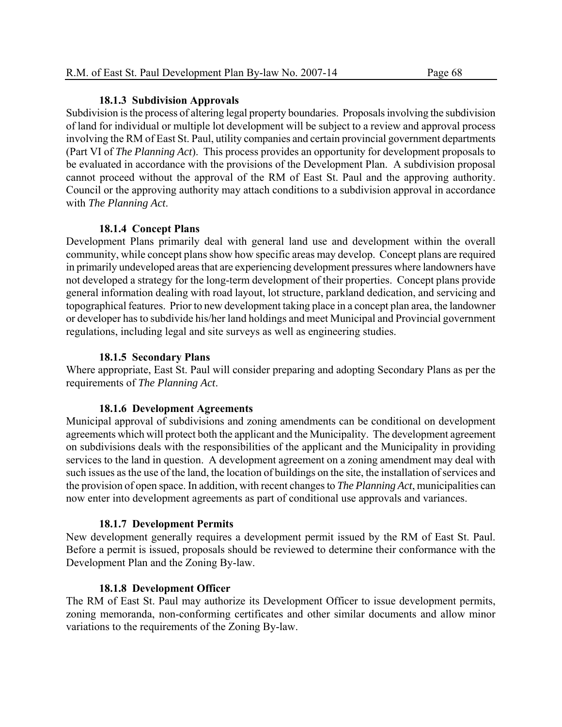#### **18.1.3 Subdivision Approvals**

Subdivision is the process of altering legal property boundaries. Proposals involving the subdivision of land for individual or multiple lot development will be subject to a review and approval process involving the RM of East St. Paul, utility companies and certain provincial government departments (Part VI of *The Planning Act*). This process provides an opportunity for development proposals to be evaluated in accordance with the provisions of the Development Plan. A subdivision proposal cannot proceed without the approval of the RM of East St. Paul and the approving authority. Council or the approving authority may attach conditions to a subdivision approval in accordance with *The Planning Act*.

#### **18.1.4 Concept Plans**

Development Plans primarily deal with general land use and development within the overall community, while concept plans show how specific areas may develop. Concept plans are required in primarily undeveloped areas that are experiencing development pressures where landowners have not developed a strategy for the long-term development of their properties. Concept plans provide general information dealing with road layout, lot structure, parkland dedication, and servicing and topographical features. Prior to new development taking place in a concept plan area, the landowner or developer has to subdivide his/her land holdings and meet Municipal and Provincial government regulations, including legal and site surveys as well as engineering studies.

#### **18.1.5 Secondary Plans**

Where appropriate, East St. Paul will consider preparing and adopting Secondary Plans as per the requirements of *The Planning Act*.

#### **18.1.6 Development Agreements**

Municipal approval of subdivisions and zoning amendments can be conditional on development agreements which will protect both the applicant and the Municipality. The development agreement on subdivisions deals with the responsibilities of the applicant and the Municipality in providing services to the land in question. A development agreement on a zoning amendment may deal with such issues as the use of the land, the location of buildings on the site, the installation of services and the provision of open space. In addition, with recent changes to *The Planning Act*, municipalities can now enter into development agreements as part of conditional use approvals and variances.

#### **18.1.7 Development Permits**

New development generally requires a development permit issued by the RM of East St. Paul. Before a permit is issued, proposals should be reviewed to determine their conformance with the Development Plan and the Zoning By-law.

#### **18.1.8 Development Officer**

The RM of East St. Paul may authorize its Development Officer to issue development permits, zoning memoranda, non-conforming certificates and other similar documents and allow minor variations to the requirements of the Zoning By-law.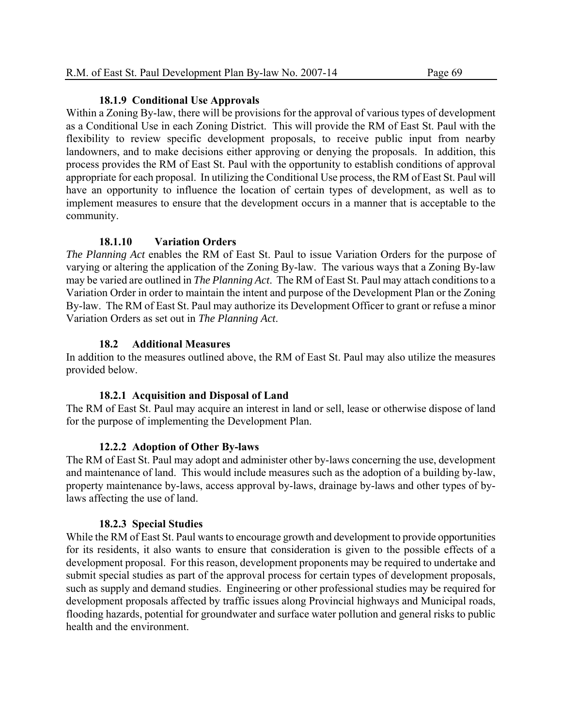#### **18.1.9 Conditional Use Approvals**

Within a Zoning By-law, there will be provisions for the approval of various types of development as a Conditional Use in each Zoning District. This will provide the RM of East St. Paul with the flexibility to review specific development proposals, to receive public input from nearby landowners, and to make decisions either approving or denying the proposals. In addition, this process provides the RM of East St. Paul with the opportunity to establish conditions of approval appropriate for each proposal. In utilizing the Conditional Use process, the RM of East St. Paul will have an opportunity to influence the location of certain types of development, as well as to implement measures to ensure that the development occurs in a manner that is acceptable to the community.

# **18.1.10 Variation Orders**

*The Planning Act* enables the RM of East St. Paul to issue Variation Orders for the purpose of varying or altering the application of the Zoning By-law. The various ways that a Zoning By-law may be varied are outlined in *The Planning Act*. The RM of East St. Paul may attach conditions to a Variation Order in order to maintain the intent and purpose of the Development Plan or the Zoning By-law. The RM of East St. Paul may authorize its Development Officer to grant or refuse a minor Variation Orders as set out in *The Planning Act*.

# **18.2 Additional Measures**

In addition to the measures outlined above, the RM of East St. Paul may also utilize the measures provided below.

# **18.2.1 Acquisition and Disposal of Land**

The RM of East St. Paul may acquire an interest in land or sell, lease or otherwise dispose of land for the purpose of implementing the Development Plan.

# **12.2.2 Adoption of Other By-laws**

The RM of East St. Paul may adopt and administer other by-laws concerning the use, development and maintenance of land. This would include measures such as the adoption of a building by-law, property maintenance by-laws, access approval by-laws, drainage by-laws and other types of bylaws affecting the use of land.

# **18.2.3 Special Studies**

While the RM of East St. Paul wants to encourage growth and development to provide opportunities for its residents, it also wants to ensure that consideration is given to the possible effects of a development proposal. For this reason, development proponents may be required to undertake and submit special studies as part of the approval process for certain types of development proposals, such as supply and demand studies. Engineering or other professional studies may be required for development proposals affected by traffic issues along Provincial highways and Municipal roads, flooding hazards, potential for groundwater and surface water pollution and general risks to public health and the environment.